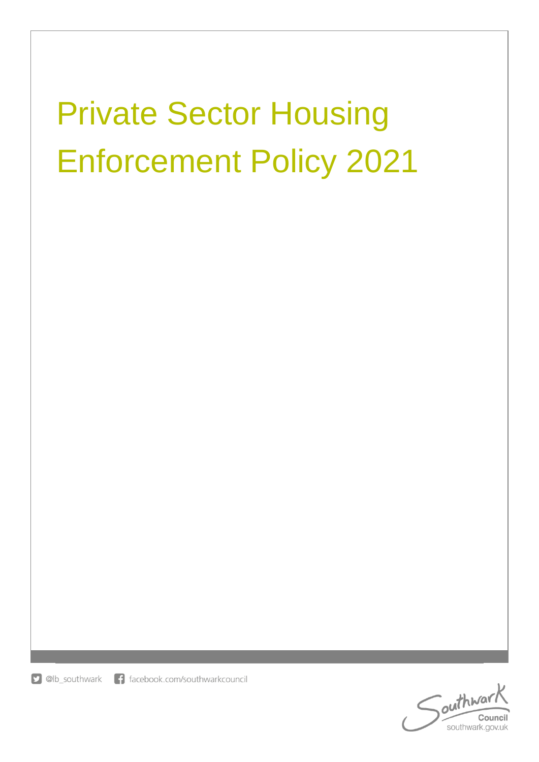# Private Sector Housing Enforcement Policy 2021

**D** @lb\_southwark f facebook.com/southwarkcouncil

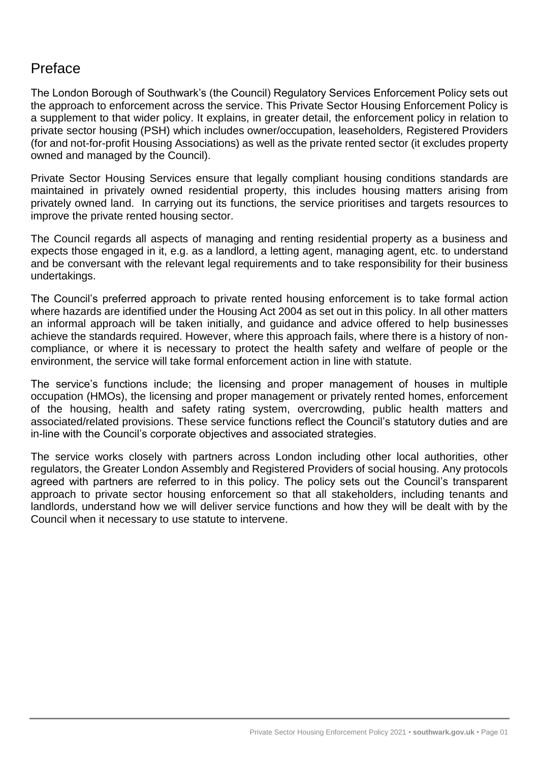# Preface

The London Borough of Southwark's (the Council) Regulatory Services Enforcement Policy sets out the approach to enforcement across the service. This Private Sector Housing Enforcement Policy is a supplement to that wider policy. It explains, in greater detail, the enforcement policy in relation to private sector housing (PSH) which includes owner/occupation, leaseholders, Registered Providers (for and not-for-profit Housing Associations) as well as the private rented sector (it excludes property owned and managed by the Council).

Private Sector Housing Services ensure that legally compliant housing conditions standards are maintained in privately owned residential property, this includes housing matters arising from privately owned land. In carrying out its functions, the service prioritises and targets resources to improve the private rented housing sector.

The Council regards all aspects of managing and renting residential property as a business and expects those engaged in it, e.g. as a landlord, a letting agent, managing agent, etc. to understand and be conversant with the relevant legal requirements and to take responsibility for their business undertakings.

The Council's preferred approach to private rented housing enforcement is to take formal action where hazards are identified under the Housing Act 2004 as set out in this policy. In all other matters an informal approach will be taken initially, and guidance and advice offered to help businesses achieve the standards required. However, where this approach fails, where there is a history of noncompliance, or where it is necessary to protect the health safety and welfare of people or the environment, the service will take formal enforcement action in line with statute.

The service's functions include; the licensing and proper management of houses in multiple occupation (HMOs), the licensing and proper management or privately rented homes, enforcement of the housing, health and safety rating system, overcrowding, public health matters and associated/related provisions. These service functions reflect the Council's statutory duties and are in-line with the Council's corporate objectives and associated strategies.

The service works closely with partners across London including other local authorities, other regulators, the Greater London Assembly and Registered Providers of social housing. Any protocols agreed with partners are referred to in this policy. The policy sets out the Council's transparent approach to private sector housing enforcement so that all stakeholders, including tenants and landlords, understand how we will deliver service functions and how they will be dealt with by the Council when it necessary to use statute to intervene.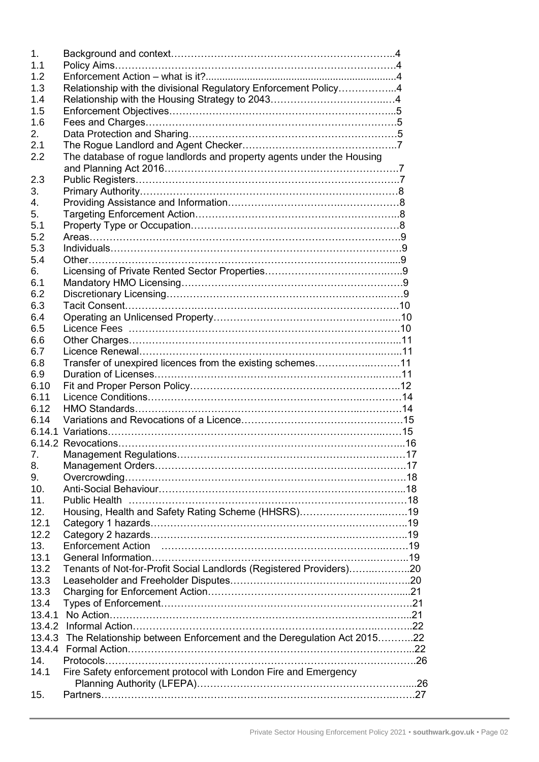| $\mathbf 1$ .   |                                                                             |  |
|-----------------|-----------------------------------------------------------------------------|--|
| 1.1             |                                                                             |  |
| 1.2             |                                                                             |  |
| 1.3             | Relationship with the divisional Regulatory Enforcement Policy4             |  |
| 1.4             |                                                                             |  |
| 1.5             |                                                                             |  |
| 1.6             |                                                                             |  |
| 2.              |                                                                             |  |
| 2.1             |                                                                             |  |
| 2.2             | The database of rogue landlords and property agents under the Housing       |  |
|                 |                                                                             |  |
| 2.3             |                                                                             |  |
| 3.              |                                                                             |  |
| $\mathbf{4}$ .  |                                                                             |  |
| 5.              |                                                                             |  |
| 5.1             |                                                                             |  |
| 5.2             |                                                                             |  |
| 5.3             |                                                                             |  |
| 5.4             |                                                                             |  |
| 6.              |                                                                             |  |
| 6.1             |                                                                             |  |
| 6.2             |                                                                             |  |
| 6.3             |                                                                             |  |
| 6.4             |                                                                             |  |
| 6.5             |                                                                             |  |
| 6.6             |                                                                             |  |
| 6.7             |                                                                             |  |
|                 | Transfer of unexpired licences from the existing schemes11                  |  |
| 6.8             |                                                                             |  |
| 6.9             |                                                                             |  |
| 6.10            |                                                                             |  |
| 6.11            |                                                                             |  |
| 6.12            |                                                                             |  |
| 6.14            |                                                                             |  |
|                 |                                                                             |  |
|                 |                                                                             |  |
| $\mathcal{L}$ . |                                                                             |  |
| 8.              |                                                                             |  |
| 9.              |                                                                             |  |
| 10.             |                                                                             |  |
| 11.             |                                                                             |  |
| 12.             | Housing, Health and Safety Rating Scheme (HHSRS)19                          |  |
| 12.1            |                                                                             |  |
| 12.2            |                                                                             |  |
| 13.             | <b>Enforcement Action</b>                                                   |  |
| 13.1            |                                                                             |  |
| 13.2            | Tenants of Not-for-Profit Social Landlords (Registered Providers)20         |  |
| 13.3            |                                                                             |  |
| 13.3            |                                                                             |  |
| 13.4            |                                                                             |  |
|                 |                                                                             |  |
|                 |                                                                             |  |
|                 | 13.4.3 The Relationship between Enforcement and the Deregulation Act 201522 |  |
|                 |                                                                             |  |
| 14.             |                                                                             |  |
| 14.1            | Fire Safety enforcement protocol with London Fire and Emergency             |  |
|                 |                                                                             |  |
| 15.             |                                                                             |  |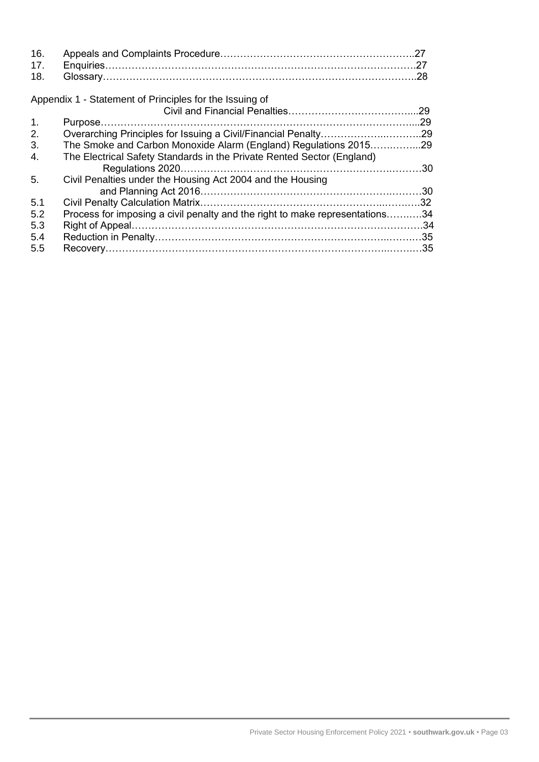| 16.<br>17.<br>18. |                                                                              |                  |
|-------------------|------------------------------------------------------------------------------|------------------|
|                   | Appendix 1 - Statement of Principles for the Issuing of                      |                  |
|                   |                                                                              | .29              |
| $\mathbf{1}$ .    |                                                                              | .29              |
| 2.                |                                                                              |                  |
| 3.                | The Smoke and Carbon Monoxide Alarm (England) Regulations 201529             |                  |
| 4.                | The Electrical Safety Standards in the Private Rented Sector (England)       |                  |
|                   |                                                                              |                  |
| 5.                | Civil Penalties under the Housing Act 2004 and the Housing                   |                  |
|                   |                                                                              |                  |
| 5.1               |                                                                              | .32 <sub>0</sub> |
| 5.2               | Process for imposing a civil penalty and the right to make representations34 |                  |
| 5.3               |                                                                              |                  |
| 5.4               |                                                                              |                  |
| 5.5               |                                                                              |                  |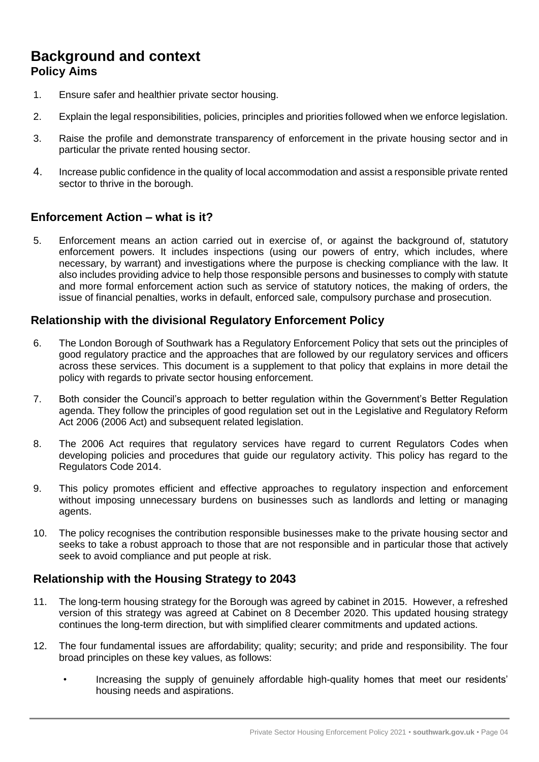## **Background and context Policy Aims**

- 1. Ensure safer and healthier private sector housing.
- 2. Explain the legal responsibilities, policies, principles and priorities followed when we enforce legislation.
- 3. Raise the profile and demonstrate transparency of enforcement in the private housing sector and in particular the private rented housing sector.
- 4. Increase public confidence in the quality of local accommodation and assist a responsible private rented sector to thrive in the borough.

#### **Enforcement Action – what is it?**

5. Enforcement means an action carried out in exercise of, or against the background of, statutory enforcement powers. It includes inspections (using our powers of entry, which includes, where necessary, by warrant) and investigations where the purpose is checking compliance with the law. It also includes providing advice to help those responsible persons and businesses to comply with statute and more formal enforcement action such as service of statutory notices, the making of orders, the issue of financial penalties, works in default, enforced sale, compulsory purchase and prosecution.

#### **Relationship with the divisional Regulatory Enforcement Policy**

- 6. The London Borough of Southwark has a Regulatory Enforcement Policy that sets out the principles of good regulatory practice and the approaches that are followed by our regulatory services and officers across these services. This document is a supplement to that policy that explains in more detail the policy with regards to private sector housing enforcement.
- 7. Both consider the Council's approach to better regulation within the Government's Better Regulation agenda. They follow the principles of good regulation set out in the Legislative and Regulatory Reform Act 2006 (2006 Act) and subsequent related legislation.
- 8. The 2006 Act requires that regulatory services have regard to current Regulators Codes when developing policies and procedures that guide our regulatory activity. This policy has regard to the Regulators Code 2014.
- 9. This policy promotes efficient and effective approaches to regulatory inspection and enforcement without imposing unnecessary burdens on businesses such as landlords and letting or managing agents.
- 10. The policy recognises the contribution responsible businesses make to the private housing sector and seeks to take a robust approach to those that are not responsible and in particular those that actively seek to avoid compliance and put people at risk.

#### **Relationship with the Housing Strategy to 2043**

- 11. The long-term housing strategy for the Borough was agreed by cabinet in 2015. However, a refreshed version of this strategy was agreed at Cabinet on 8 December 2020. This updated housing strategy continues the long-term direction, but with simplified clearer commitments and updated actions.
- 12. The four fundamental issues are affordability; quality; security; and pride and responsibility. The four broad principles on these key values, as follows:
	- Increasing the supply of genuinely affordable high-quality homes that meet our residents' housing needs and aspirations.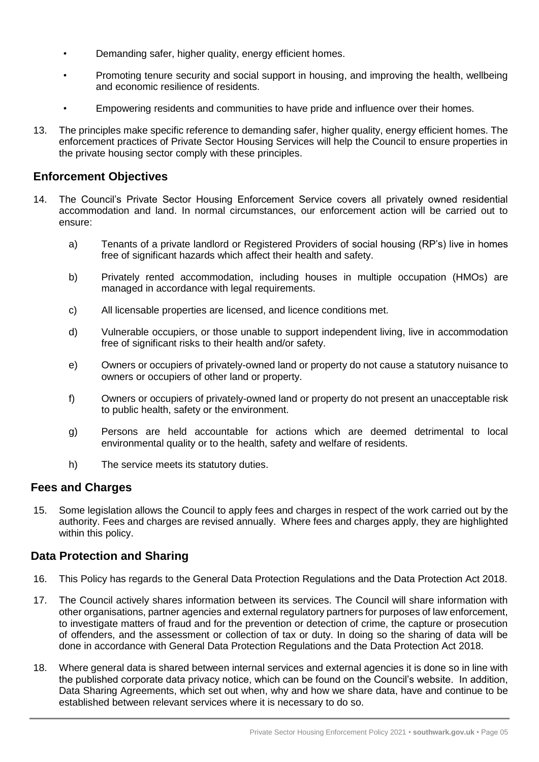- Demanding safer, higher quality, energy efficient homes.
- Promoting tenure security and social support in housing, and improving the health, wellbeing and economic resilience of residents.
- Empowering residents and communities to have pride and influence over their homes.
- 13. The principles make specific reference to demanding safer, higher quality, energy efficient homes. The enforcement practices of Private Sector Housing Services will help the Council to ensure properties in the private housing sector comply with these principles.

#### **Enforcement Objectives**

- 14. The Council's Private Sector Housing Enforcement Service covers all privately owned residential accommodation and land. In normal circumstances, our enforcement action will be carried out to ensure:
	- a) Tenants of a private landlord or Registered Providers of social housing (RP's) live in homes free of significant hazards which affect their health and safety.
	- b) Privately rented accommodation, including houses in multiple occupation (HMOs) are managed in accordance with legal requirements.
	- c) All licensable properties are licensed, and licence conditions met.
	- d) Vulnerable occupiers, or those unable to support independent living, live in accommodation free of significant risks to their health and/or safety.
	- e) Owners or occupiers of privately-owned land or property do not cause a statutory nuisance to owners or occupiers of other land or property.
	- f) Owners or occupiers of privately-owned land or property do not present an unacceptable risk to public health, safety or the environment.
	- g) Persons are held accountable for actions which are deemed detrimental to local environmental quality or to the health, safety and welfare of residents.
	- h) The service meets its statutory duties.

#### **Fees and Charges**

15. Some legislation allows the Council to apply fees and charges in respect of the work carried out by the authority. Fees and charges are revised annually. Where fees and charges apply, they are highlighted within this policy.

#### **Data Protection and Sharing**

- 16. This Policy has regards to the General Data Protection Regulations and the Data Protection Act 2018.
- 17. The Council actively shares information between its services. The Council will share information with other organisations, partner agencies and external regulatory partners for purposes of law enforcement, to investigate matters of fraud and for the prevention or detection of crime, the capture or prosecution of offenders, and the assessment or collection of tax or duty. In doing so the sharing of data will be done in accordance with General Data Protection Regulations and the Data Protection Act 2018.
- 18. Where general data is shared between internal services and external agencies it is done so in line with the published corporate data privacy notice, which can be found on the Council's website. In addition, Data Sharing Agreements, which set out when, why and how we share data, have and continue to be established between relevant services where it is necessary to do so.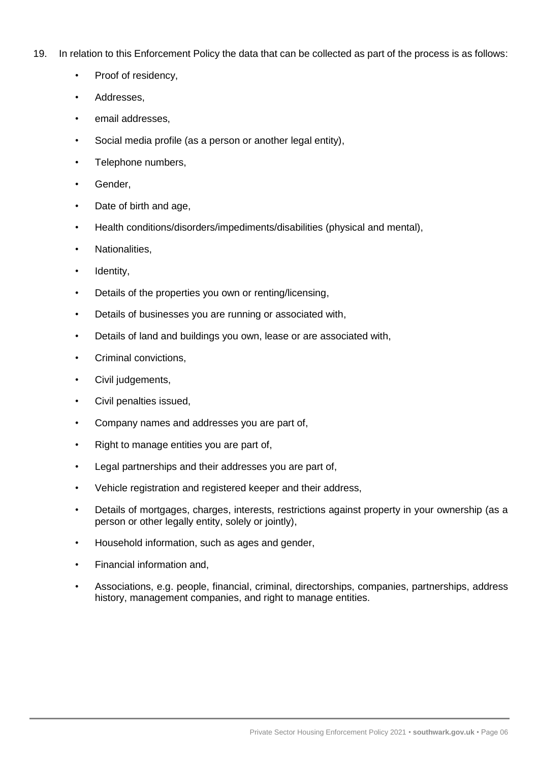- 19. In relation to this Enforcement Policy the data that can be collected as part of the process is as follows:
	- Proof of residency.
	- Addresses,
	- email addresses.
	- Social media profile (as a person or another legal entity),
	- Telephone numbers.
	- Gender.
	- Date of birth and age,
	- Health conditions/disorders/impediments/disabilities (physical and mental),
	- Nationalities,
	- Identity,
	- Details of the properties you own or renting/licensing,
	- Details of businesses you are running or associated with,
	- Details of land and buildings you own, lease or are associated with,
	- Criminal convictions,
	- Civil judgements,
	- Civil penalties issued,
	- Company names and addresses you are part of,
	- Right to manage entities you are part of,
	- Legal partnerships and their addresses you are part of,
	- Vehicle registration and registered keeper and their address,
	- Details of mortgages, charges, interests, restrictions against property in your ownership (as a person or other legally entity, solely or jointly),
	- Household information, such as ages and gender,
	- Financial information and,
	- Associations, e.g. people, financial, criminal, directorships, companies, partnerships, address history, management companies, and right to manage entities.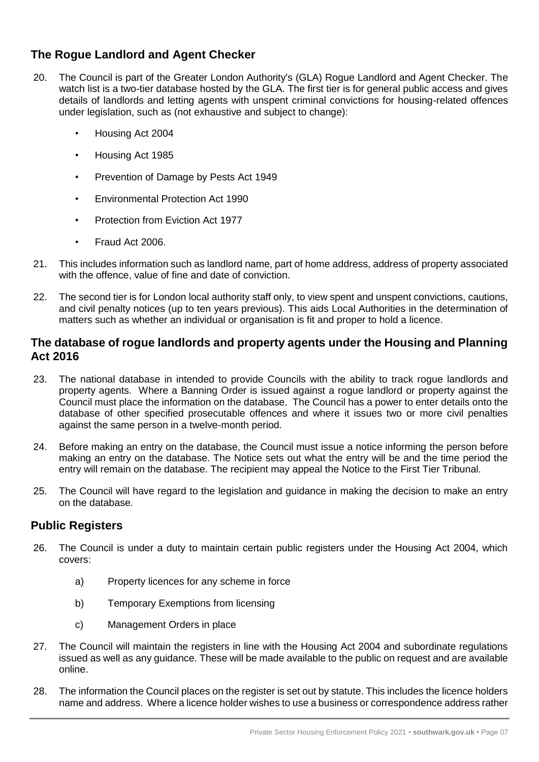## **The Rogue Landlord and Agent Checker**

- 20. The Council is part of the Greater London Authority's (GLA) Rogue Landlord and Agent Checker. The watch list is a two-tier database hosted by the GLA. The first tier is for general public access and gives details of landlords and letting agents with unspent criminal convictions for housing-related offences under legislation, such as (not exhaustive and subject to change):
	- Housing Act 2004
	- Housing Act 1985
	- Prevention of Damage by Pests Act 1949
	- Environmental Protection Act 1990
	- Protection from Eviction Act 1977
	- Fraud Act 2006.
- 21. This includes information such as landlord name, part of home address, address of property associated with the offence, value of fine and date of conviction.
- 22. The second tier is for London local authority staff only, to view spent and unspent convictions, cautions, and civil penalty notices (up to ten years previous). This aids Local Authorities in the determination of matters such as whether an individual or organisation is fit and proper to hold a licence.

#### **The database of rogue landlords and property agents under the Housing and Planning Act 2016**

- 23. The national database in intended to provide Councils with the ability to track rogue landlords and property agents. Where a Banning Order is issued against a rogue landlord or property against the Council must place the information on the database. The Council has a power to enter details onto the database of other specified prosecutable offences and where it issues two or more civil penalties against the same person in a twelve-month period.
- 24. Before making an entry on the database, the Council must issue a notice informing the person before making an entry on the database. The Notice sets out what the entry will be and the time period the entry will remain on the database. The recipient may appeal the Notice to the First Tier Tribunal.
- 25. The Council will have regard to the legislation and guidance in making the decision to make an entry on the database.

#### **Public Registers**

- 26. The Council is under a duty to maintain certain public registers under the Housing Act 2004, which covers:
	- a) Property licences for any scheme in force
	- b) Temporary Exemptions from licensing
	- c) Management Orders in place
- 27. The Council will maintain the registers in line with the Housing Act 2004 and subordinate regulations issued as well as any guidance. These will be made available to the public on request and are available online.
- 28. The information the Council places on the register is set out by statute. This includes the licence holders name and address. Where a licence holder wishes to use a business or correspondence address rather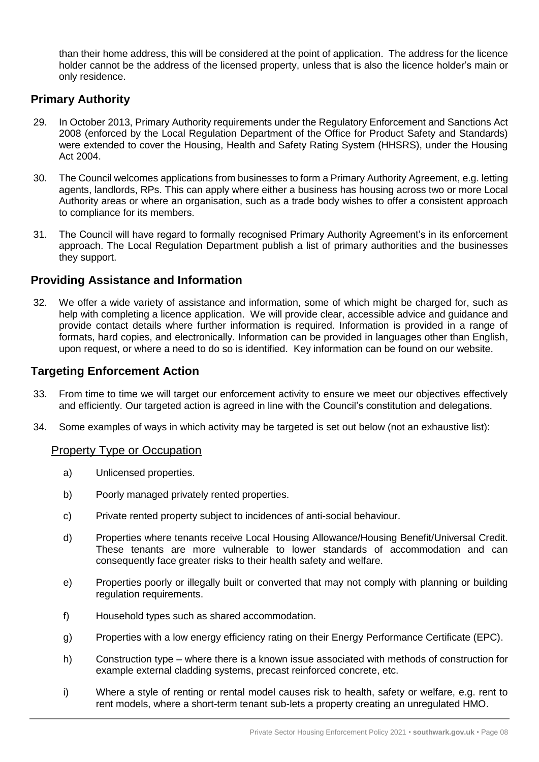than their home address, this will be considered at the point of application. The address for the licence holder cannot be the address of the licensed property, unless that is also the licence holder's main or only residence.

### **Primary Authority**

- 29. In October 2013, Primary Authority requirements under the Regulatory Enforcement and Sanctions Act 2008 (enforced by the Local Regulation Department of the Office for Product Safety and Standards) were extended to cover the Housing, Health and Safety Rating System (HHSRS), under the Housing Act 2004.
- 30. The Council welcomes applications from businesses to form a Primary Authority Agreement, e.g. letting agents, landlords, RPs. This can apply where either a business has housing across two or more Local Authority areas or where an organisation, such as a trade body wishes to offer a consistent approach to compliance for its members.
- 31. The Council will have regard to formally recognised Primary Authority Agreement's in its enforcement approach. The Local Regulation Department publish a list of primary authorities and the businesses they support.

#### **Providing Assistance and Information**

32. We offer a wide variety of assistance and information, some of which might be charged for, such as help with completing a licence application. We will provide clear, accessible advice and guidance and provide contact details where further information is required. Information is provided in a range of formats, hard copies, and electronically. Information can be provided in languages other than English, upon request, or where a need to do so is identified. Key information can be found on our website.

#### **Targeting Enforcement Action**

- 33. From time to time we will target our enforcement activity to ensure we meet our objectives effectively and efficiently. Our targeted action is agreed in line with the Council's constitution and delegations.
- 34. Some examples of ways in which activity may be targeted is set out below (not an exhaustive list):

#### Property Type or Occupation

- a) Unlicensed properties.
- b) Poorly managed privately rented properties.
- c) Private rented property subject to incidences of anti-social behaviour.
- d) Properties where tenants receive Local Housing Allowance/Housing Benefit/Universal Credit. These tenants are more vulnerable to lower standards of accommodation and can consequently face greater risks to their health safety and welfare.
- e) Properties poorly or illegally built or converted that may not comply with planning or building regulation requirements.
- f) Household types such as shared accommodation.
- g) Properties with a low energy efficiency rating on their Energy Performance Certificate (EPC).
- h) Construction type where there is a known issue associated with methods of construction for example external cladding systems, precast reinforced concrete, etc.
- i) Where a style of renting or rental model causes risk to health, safety or welfare, e.g. rent to rent models, where a short-term tenant sub-lets a property creating an unregulated HMO.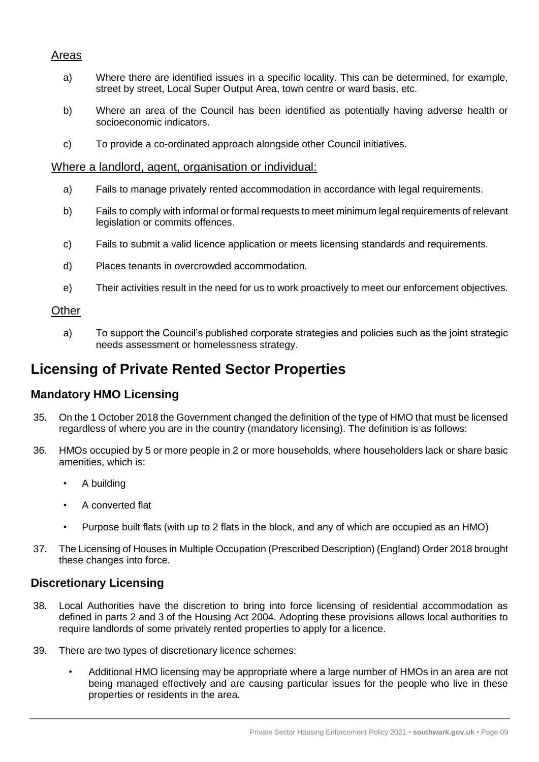#### Areas

- a) Where there are identified issues in a specific locality. This can be determined, for example, street by street, Local Super Output Area, town centre or ward basis, etc.
- b) Where an area of the Council has been identified as potentially having adverse health or socioeconomic indicators.
- c) To provide a co-ordinated approach alongside other Council initiatives.

#### Where a landlord, agent, organisation or individual:

- a) Fails to manage privately rented accommodation in accordance with legal requirements.
- b) Fails to comply with informal or formal requests to meet minimum legal requirements of relevant legislation or commits offences.
- c) Fails to submit a valid licence application or meets licensing standards and requirements.
- d) Places tenants in overcrowded accommodation.
- e) Their activities result in the need for us to work proactively to meet our enforcement objectives.

#### **Other**

a) To support the Council's published corporate strategies and policies such as the joint strategic needs assessment or homelessness strategy.

## **Licensing of Private Rented Sector Properties**

#### **Mandatory HMO Licensing**

- 35. On the 1 October 2018 the Government changed the definition of the type of HMO that must be licensed regardless of where you are in the country (mandatory licensing). The definition is as follows:
- 36. HMOs occupied by 5 or more people in 2 or more households, where householders lack or share basic amenities, which is:
	- A building
	- A converted flat
	- Purpose built flats (with up to 2 flats in the block, and any of which are occupied as an HMO)
- 37. The Licensing of Houses in Multiple Occupation (Prescribed Description) (England) Order 2018 brought these changes into force.

#### **Discretionary Licensing**

- 38. Local Authorities have the discretion to bring into force licensing of residential accommodation as defined in parts 2 and 3 of the Housing Act 2004. Adopting these provisions allows local authorities to require landlords of some privately rented properties to apply for a licence.
- 39. There are two types of discretionary licence schemes:
	- Additional HMO licensing may be appropriate where a large number of HMOs in an area are not being managed effectively and are causing particular issues for the people who live in these properties or residents in the area.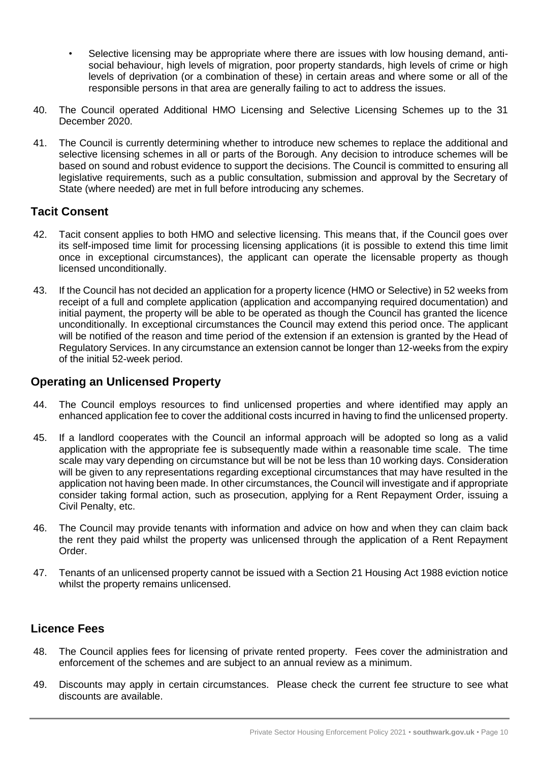- Selective licensing may be appropriate where there are issues with low housing demand, antisocial behaviour, high levels of migration, poor property standards, high levels of crime or high levels of deprivation (or a combination of these) in certain areas and where some or all of the responsible persons in that area are generally failing to act to address the issues.
- 40. The Council operated Additional HMO Licensing and Selective Licensing Schemes up to the 31 December 2020.
- 41. The Council is currently determining whether to introduce new schemes to replace the additional and selective licensing schemes in all or parts of the Borough. Any decision to introduce schemes will be based on sound and robust evidence to support the decisions. The Council is committed to ensuring all legislative requirements, such as a public consultation, submission and approval by the Secretary of State (where needed) are met in full before introducing any schemes.

## **Tacit Consent**

- 42. Tacit consent applies to both HMO and selective licensing. This means that, if the Council goes over its self-imposed time limit for processing licensing applications (it is possible to extend this time limit once in exceptional circumstances), the applicant can operate the licensable property as though licensed unconditionally.
- 43. If the Council has not decided an application for a property licence (HMO or Selective) in 52 weeks from receipt of a full and complete application (application and accompanying required documentation) and initial payment, the property will be able to be operated as though the Council has granted the licence unconditionally. In exceptional circumstances the Council may extend this period once. The applicant will be notified of the reason and time period of the extension if an extension is granted by the Head of Regulatory Services. In any circumstance an extension cannot be longer than 12-weeks from the expiry of the initial 52-week period.

#### **Operating an Unlicensed Property**

- 44. The Council employs resources to find unlicensed properties and where identified may apply an enhanced application fee to cover the additional costs incurred in having to find the unlicensed property.
- 45. If a landlord cooperates with the Council an informal approach will be adopted so long as a valid application with the appropriate fee is subsequently made within a reasonable time scale. The time scale may vary depending on circumstance but will be not be less than 10 working days. Consideration will be given to any representations regarding exceptional circumstances that may have resulted in the application not having been made. In other circumstances, the Council will investigate and if appropriate consider taking formal action, such as prosecution, applying for a Rent Repayment Order, issuing a Civil Penalty, etc.
- 46. The Council may provide tenants with information and advice on how and when they can claim back the rent they paid whilst the property was unlicensed through the application of a Rent Repayment Order.
- 47. Tenants of an unlicensed property cannot be issued with a Section 21 Housing Act 1988 eviction notice whilst the property remains unlicensed.

#### **Licence Fees**

- 48. The Council applies fees for licensing of private rented property. Fees cover the administration and enforcement of the schemes and are subject to an annual review as a minimum.
- 49. Discounts may apply in certain circumstances. Please check the current fee structure to see what discounts are available.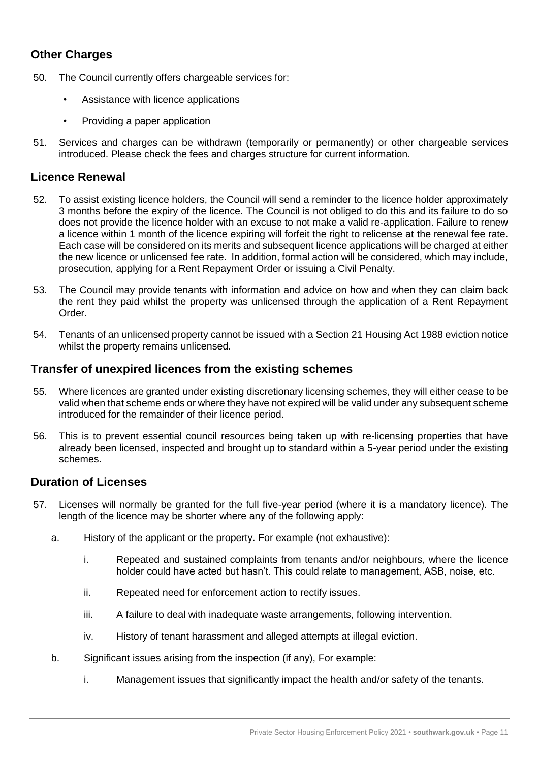## **Other Charges**

- 50. The Council currently offers chargeable services for:
	- Assistance with licence applications
	- Providing a paper application
- 51. Services and charges can be withdrawn (temporarily or permanently) or other chargeable services introduced. Please check the fees and charges structure for current information.

#### **Licence Renewal**

- 52. To assist existing licence holders, the Council will send a reminder to the licence holder approximately 3 months before the expiry of the licence. The Council is not obliged to do this and its failure to do so does not provide the licence holder with an excuse to not make a valid re-application. Failure to renew a licence within 1 month of the licence expiring will forfeit the right to relicense at the renewal fee rate. Each case will be considered on its merits and subsequent licence applications will be charged at either the new licence or unlicensed fee rate. In addition, formal action will be considered, which may include, prosecution, applying for a Rent Repayment Order or issuing a Civil Penalty.
- 53. The Council may provide tenants with information and advice on how and when they can claim back the rent they paid whilst the property was unlicensed through the application of a Rent Repayment Order.
- 54. Tenants of an unlicensed property cannot be issued with a Section 21 Housing Act 1988 eviction notice whilst the property remains unlicensed.

#### **Transfer of unexpired licences from the existing schemes**

- 55. Where licences are granted under existing discretionary licensing schemes, they will either cease to be valid when that scheme ends or where they have not expired will be valid under any subsequent scheme introduced for the remainder of their licence period.
- 56. This is to prevent essential council resources being taken up with re-licensing properties that have already been licensed, inspected and brought up to standard within a 5-year period under the existing schemes.

#### **Duration of Licenses**

- 57. Licenses will normally be granted for the full five-year period (where it is a mandatory licence). The length of the licence may be shorter where any of the following apply:
	- a. History of the applicant or the property. For example (not exhaustive):
		- i. Repeated and sustained complaints from tenants and/or neighbours, where the licence holder could have acted but hasn't. This could relate to management, ASB, noise, etc.
		- ii. Repeated need for enforcement action to rectify issues.
		- iii. A failure to deal with inadequate waste arrangements, following intervention.
		- iv. History of tenant harassment and alleged attempts at illegal eviction.
	- b. Significant issues arising from the inspection (if any), For example:
		- i. Management issues that significantly impact the health and/or safety of the tenants.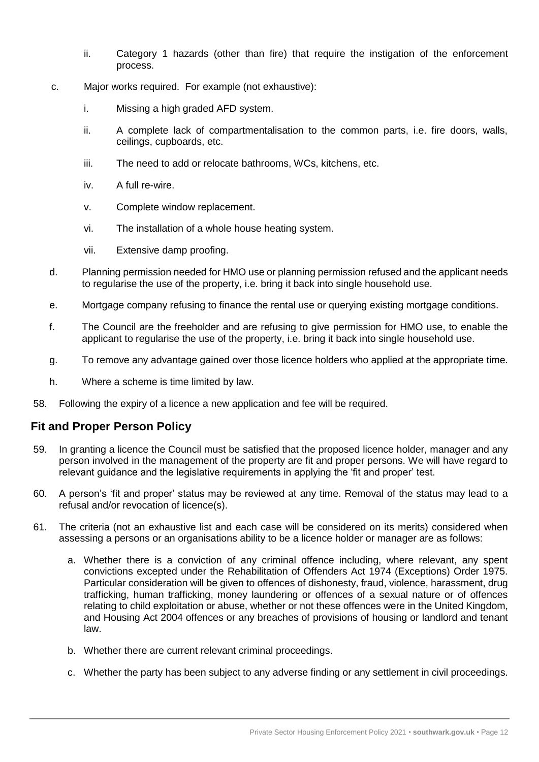- ii. Category 1 hazards (other than fire) that require the instigation of the enforcement process.
- c. Major works required. For example (not exhaustive):
	- i. Missing a high graded AFD system.
	- ii. A complete lack of compartmentalisation to the common parts, i.e. fire doors, walls, ceilings, cupboards, etc.
	- iii. The need to add or relocate bathrooms, WCs, kitchens, etc.
	- iv. A full re-wire.
	- v. Complete window replacement.
	- vi. The installation of a whole house heating system.
	- vii. Extensive damp proofing.
- d. Planning permission needed for HMO use or planning permission refused and the applicant needs to regularise the use of the property, i.e. bring it back into single household use.
- e. Mortgage company refusing to finance the rental use or querying existing mortgage conditions.
- f. The Council are the freeholder and are refusing to give permission for HMO use, to enable the applicant to regularise the use of the property, i.e. bring it back into single household use.
- g. To remove any advantage gained over those licence holders who applied at the appropriate time.
- h. Where a scheme is time limited by law.
- 58. Following the expiry of a licence a new application and fee will be required.

## **Fit and Proper Person Policy**

- 59. In granting a licence the Council must be satisfied that the proposed licence holder, manager and any person involved in the management of the property are fit and proper persons. We will have regard to relevant guidance and the legislative requirements in applying the 'fit and proper' test.
- 60. A person's 'fit and proper' status may be reviewed at any time. Removal of the status may lead to a refusal and/or revocation of licence(s).
- 61. The criteria (not an exhaustive list and each case will be considered on its merits) considered when assessing a persons or an organisations ability to be a licence holder or manager are as follows:
	- a. Whether there is a conviction of any criminal offence including, where relevant, any spent convictions excepted under the Rehabilitation of Offenders Act 1974 (Exceptions) Order 1975. Particular consideration will be given to offences of dishonesty, fraud, violence, harassment, drug trafficking, human trafficking, money laundering or offences of a sexual nature or of offences relating to child exploitation or abuse, whether or not these offences were in the United Kingdom, and Housing Act 2004 offences or any breaches of provisions of housing or landlord and tenant law.
	- b. Whether there are current relevant criminal proceedings.
	- c. Whether the party has been subject to any adverse finding or any settlement in civil proceedings.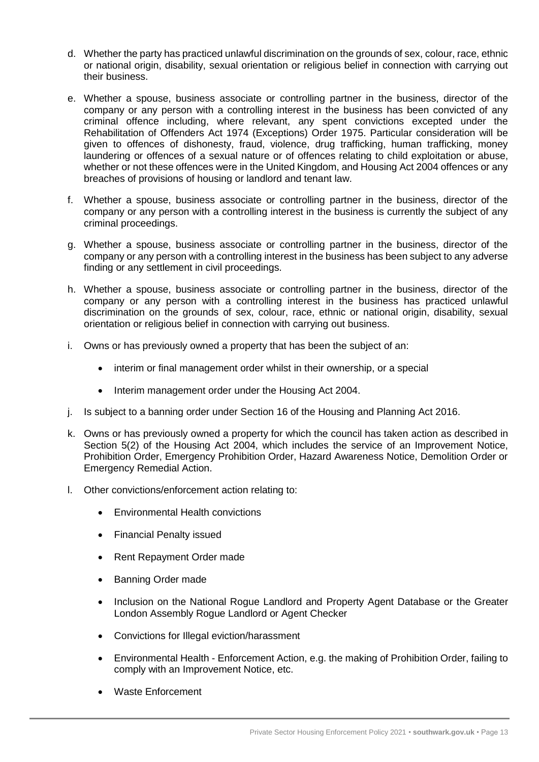- d. Whether the party has practiced unlawful discrimination on the grounds of sex, colour, race, ethnic or national origin, disability, sexual orientation or religious belief in connection with carrying out their business.
- e. Whether a spouse, business associate or controlling partner in the business, director of the company or any person with a controlling interest in the business has been convicted of any criminal offence including, where relevant, any spent convictions excepted under the Rehabilitation of Offenders Act 1974 (Exceptions) Order 1975. Particular consideration will be given to offences of dishonesty, fraud, violence, drug trafficking, human trafficking, money laundering or offences of a sexual nature or of offences relating to child exploitation or abuse, whether or not these offences were in the United Kingdom, and Housing Act 2004 offences or any breaches of provisions of housing or landlord and tenant law.
- f. Whether a spouse, business associate or controlling partner in the business, director of the company or any person with a controlling interest in the business is currently the subject of any criminal proceedings.
- g. Whether a spouse, business associate or controlling partner in the business, director of the company or any person with a controlling interest in the business has been subject to any adverse finding or any settlement in civil proceedings.
- h. Whether a spouse, business associate or controlling partner in the business, director of the company or any person with a controlling interest in the business has practiced unlawful discrimination on the grounds of sex, colour, race, ethnic or national origin, disability, sexual orientation or religious belief in connection with carrying out business.
- i. Owns or has previously owned a property that has been the subject of an:
	- interim or final management order whilst in their ownership, or a special
	- Interim management order under the Housing Act 2004.
- j. Is subject to a banning order under Section 16 of the Housing and Planning Act 2016.
- k. Owns or has previously owned a property for which the council has taken action as described in Section 5(2) of the Housing Act 2004, which includes the service of an Improvement Notice, Prohibition Order, Emergency Prohibition Order, Hazard Awareness Notice, Demolition Order or Emergency Remedial Action.
- l. Other convictions/enforcement action relating to:
	- Environmental Health convictions
	- Financial Penalty issued
	- Rent Repayment Order made
	- Banning Order made
	- Inclusion on the National Rogue Landlord and Property Agent Database or the Greater London Assembly Rogue Landlord or Agent Checker
	- Convictions for Illegal eviction/harassment
	- Environmental Health Enforcement Action, e.g. the making of Prohibition Order, failing to comply with an Improvement Notice, etc.
	- Waste Enforcement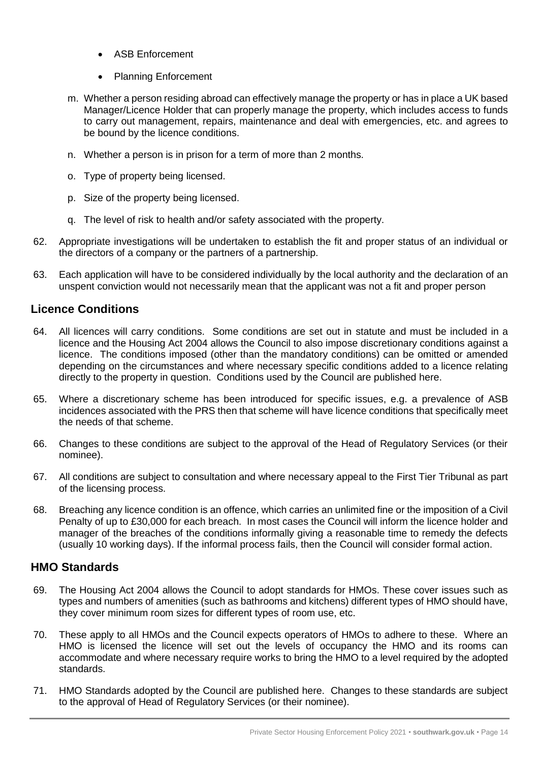- ASB Enforcement
- Planning Enforcement
- m. Whether a person residing abroad can effectively manage the property or has in place a UK based Manager/Licence Holder that can properly manage the property, which includes access to funds to carry out management, repairs, maintenance and deal with emergencies, etc. and agrees to be bound by the licence conditions.
- n. Whether a person is in prison for a term of more than 2 months.
- o. Type of property being licensed.
- p. Size of the property being licensed.
- q. The level of risk to health and/or safety associated with the property.
- 62. Appropriate investigations will be undertaken to establish the fit and proper status of an individual or the directors of a company or the partners of a partnership.
- 63. Each application will have to be considered individually by the local authority and the declaration of an unspent conviction would not necessarily mean that the applicant was not a fit and proper person

## **Licence Conditions**

- 64. All licences will carry conditions. Some conditions are set out in statute and must be included in a licence and the Housing Act 2004 allows the Council to also impose discretionary conditions against a licence. The conditions imposed (other than the mandatory conditions) can be omitted or amended depending on the circumstances and where necessary specific conditions added to a licence relating directly to the property in question. Conditions used by the Council are published here.
- 65. Where a discretionary scheme has been introduced for specific issues, e.g. a prevalence of ASB incidences associated with the PRS then that scheme will have licence conditions that specifically meet the needs of that scheme.
- 66. Changes to these conditions are subject to the approval of the Head of Regulatory Services (or their nominee).
- 67. All conditions are subject to consultation and where necessary appeal to the First Tier Tribunal as part of the licensing process.
- 68. Breaching any licence condition is an offence, which carries an unlimited fine or the imposition of a Civil Penalty of up to £30,000 for each breach. In most cases the Council will inform the licence holder and manager of the breaches of the conditions informally giving a reasonable time to remedy the defects (usually 10 working days). If the informal process fails, then the Council will consider formal action.

## **HMO Standards**

- 69. The Housing Act 2004 allows the Council to adopt standards for HMOs. These cover issues such as types and numbers of amenities (such as bathrooms and kitchens) different types of HMO should have, they cover minimum room sizes for different types of room use, etc.
- 70. These apply to all HMOs and the Council expects operators of HMOs to adhere to these. Where an HMO is licensed the licence will set out the levels of occupancy the HMO and its rooms can accommodate and where necessary require works to bring the HMO to a level required by the adopted standards.
- 71. HMO Standards adopted by the Council are published here. Changes to these standards are subject to the approval of Head of Regulatory Services (or their nominee).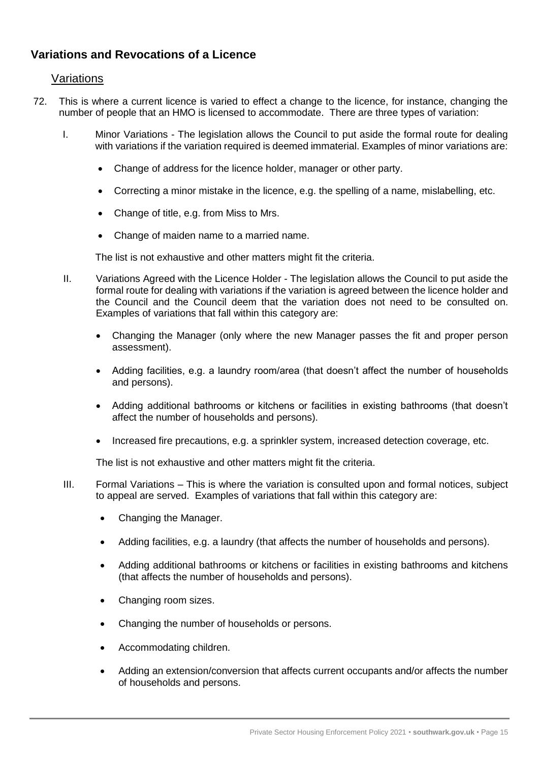## **Variations and Revocations of a Licence**

#### Variations

- 72. This is where a current licence is varied to effect a change to the licence, for instance, changing the number of people that an HMO is licensed to accommodate. There are three types of variation:
	- I. Minor Variations The legislation allows the Council to put aside the formal route for dealing with variations if the variation required is deemed immaterial. Examples of minor variations are:
		- Change of address for the licence holder, manager or other party.
		- Correcting a minor mistake in the licence, e.g. the spelling of a name, mislabelling, etc.
		- Change of title, e.g. from Miss to Mrs.
		- Change of maiden name to a married name.

The list is not exhaustive and other matters might fit the criteria.

- II. Variations Agreed with the Licence Holder The legislation allows the Council to put aside the formal route for dealing with variations if the variation is agreed between the licence holder and the Council and the Council deem that the variation does not need to be consulted on. Examples of variations that fall within this category are:
	- Changing the Manager (only where the new Manager passes the fit and proper person assessment).
	- Adding facilities, e.g. a laundry room/area (that doesn't affect the number of households and persons).
	- Adding additional bathrooms or kitchens or facilities in existing bathrooms (that doesn't affect the number of households and persons).
	- Increased fire precautions, e.g. a sprinkler system, increased detection coverage, etc.

The list is not exhaustive and other matters might fit the criteria.

- III. Formal Variations This is where the variation is consulted upon and formal notices, subject to appeal are served. Examples of variations that fall within this category are:
	- Changing the Manager.
	- Adding facilities, e.g. a laundry (that affects the number of households and persons).
	- Adding additional bathrooms or kitchens or facilities in existing bathrooms and kitchens (that affects the number of households and persons).
	- Changing room sizes.
	- Changing the number of households or persons.
	- Accommodating children.
	- Adding an extension/conversion that affects current occupants and/or affects the number of households and persons.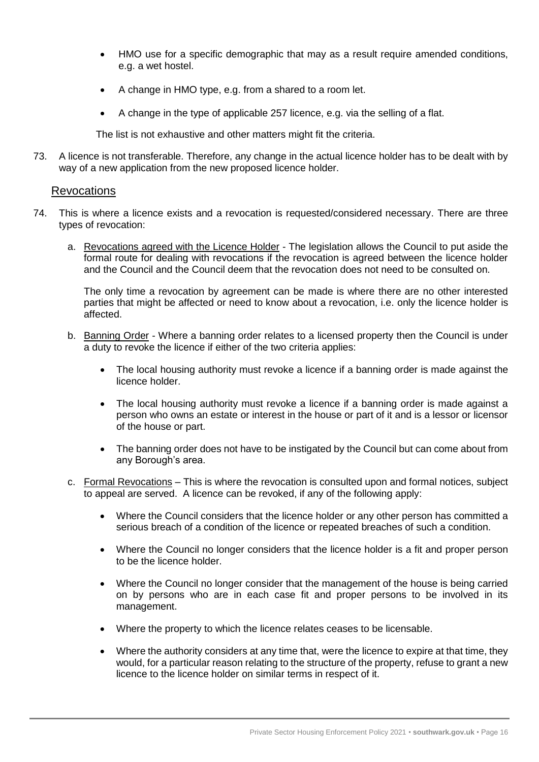- HMO use for a specific demographic that may as a result require amended conditions, e.g. a wet hostel.
- A change in HMO type, e.g. from a shared to a room let.
- A change in the type of applicable 257 licence, e.g. via the selling of a flat.

The list is not exhaustive and other matters might fit the criteria.

73. A licence is not transferable. Therefore, any change in the actual licence holder has to be dealt with by way of a new application from the new proposed licence holder.

#### Revocations

- 74. This is where a licence exists and a revocation is requested/considered necessary. There are three types of revocation:
	- a. Revocations agreed with the Licence Holder The legislation allows the Council to put aside the formal route for dealing with revocations if the revocation is agreed between the licence holder and the Council and the Council deem that the revocation does not need to be consulted on.

The only time a revocation by agreement can be made is where there are no other interested parties that might be affected or need to know about a revocation, i.e. only the licence holder is affected.

- b. Banning Order Where a banning order relates to a licensed property then the Council is under a duty to revoke the licence if either of the two criteria applies:
	- The local housing authority must revoke a licence if a banning order is made against the licence holder.
	- The local housing authority must revoke a licence if a banning order is made against a person who owns an estate or interest in the house or part of it and is a lessor or licensor of the house or part.
	- The banning order does not have to be instigated by the Council but can come about from any Borough's area.
- c. Formal Revocations This is where the revocation is consulted upon and formal notices, subject to appeal are served. A licence can be revoked, if any of the following apply:
	- Where the Council considers that the licence holder or any other person has committed a serious breach of a condition of the licence or repeated breaches of such a condition.
	- Where the Council no longer considers that the licence holder is a fit and proper person to be the licence holder.
	- Where the Council no longer consider that the management of the house is being carried on by persons who are in each case fit and proper persons to be involved in its management.
	- Where the property to which the licence relates ceases to be licensable.
	- Where the authority considers at any time that, were the licence to expire at that time, they would, for a particular reason relating to the structure of the property, refuse to grant a new licence to the licence holder on similar terms in respect of it.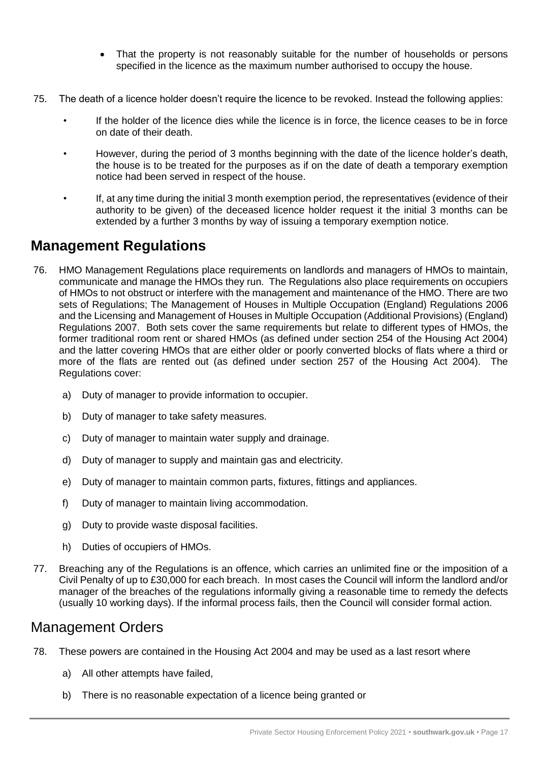- That the property is not reasonably suitable for the number of households or persons specified in the licence as the maximum number authorised to occupy the house.
- 75. The death of a licence holder doesn't require the licence to be revoked. Instead the following applies:
	- If the holder of the licence dies while the licence is in force, the licence ceases to be in force on date of their death.
	- However, during the period of 3 months beginning with the date of the licence holder's death, the house is to be treated for the purposes as if on the date of death a temporary exemption notice had been served in respect of the house.
	- If, at any time during the initial 3 month exemption period, the representatives (evidence of their authority to be given) of the deceased licence holder request it the initial 3 months can be extended by a further 3 months by way of issuing a temporary exemption notice.

## **Management Regulations**

- 76. HMO Management Regulations place requirements on landlords and managers of HMOs to maintain, communicate and manage the HMOs they run. The Regulations also place requirements on occupiers of HMOs to not obstruct or interfere with the management and maintenance of the HMO. There are two sets of Regulations; The Management of Houses in Multiple Occupation (England) Regulations 2006 and the Licensing and Management of Houses in Multiple Occupation (Additional Provisions) (England) Regulations 2007. Both sets cover the same requirements but relate to different types of HMOs, the former traditional room rent or shared HMOs (as defined under section 254 of the Housing Act 2004) and the latter covering HMOs that are either older or poorly converted blocks of flats where a third or more of the flats are rented out (as defined under section 257 of the Housing Act 2004). The Regulations cover:
	- a) Duty of manager to provide information to occupier.
	- b) Duty of manager to take safety measures.
	- c) Duty of manager to maintain water supply and drainage.
	- d) Duty of manager to supply and maintain gas and electricity.
	- e) Duty of manager to maintain common parts, fixtures, fittings and appliances.
	- f) Duty of manager to maintain living accommodation.
	- g) Duty to provide waste disposal facilities.
	- h) Duties of occupiers of HMOs.
- 77. Breaching any of the Regulations is an offence, which carries an unlimited fine or the imposition of a Civil Penalty of up to £30,000 for each breach. In most cases the Council will inform the landlord and/or manager of the breaches of the regulations informally giving a reasonable time to remedy the defects (usually 10 working days). If the informal process fails, then the Council will consider formal action.

# Management Orders

- 78. These powers are contained in the Housing Act 2004 and may be used as a last resort where
	- a) All other attempts have failed,
	- b) There is no reasonable expectation of a licence being granted or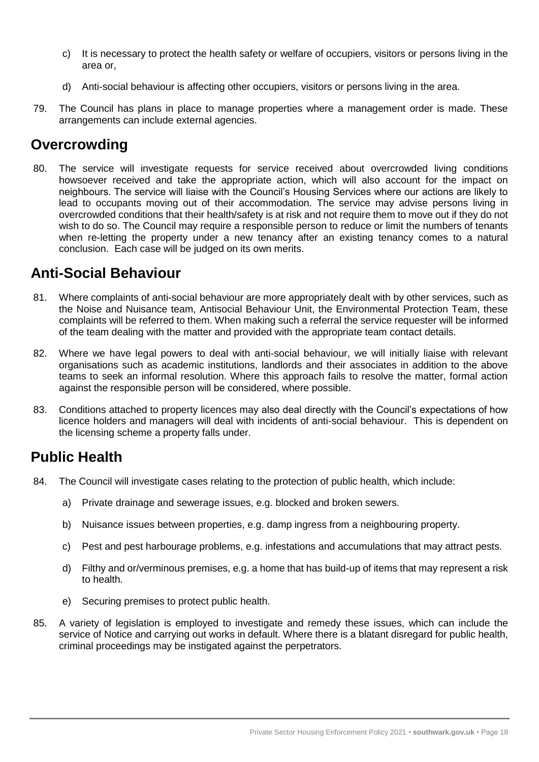- c) It is necessary to protect the health safety or welfare of occupiers, visitors or persons living in the area or,
- d) Anti-social behaviour is affecting other occupiers, visitors or persons living in the area.
- 79. The Council has plans in place to manage properties where a management order is made. These arrangements can include external agencies.

# **Overcrowding**

80. The service will investigate requests for service received about overcrowded living conditions howsoever received and take the appropriate action, which will also account for the impact on neighbours. The service will liaise with the Council's Housing Services where our actions are likely to lead to occupants moving out of their accommodation. The service may advise persons living in overcrowded conditions that their health/safety is at risk and not require them to move out if they do not wish to do so. The Council may require a responsible person to reduce or limit the numbers of tenants when re-letting the property under a new tenancy after an existing tenancy comes to a natural conclusion. Each case will be judged on its own merits.

# **Anti-Social Behaviour**

- 81. Where complaints of anti-social behaviour are more appropriately dealt with by other services, such as the Noise and Nuisance team, Antisocial Behaviour Unit, the Environmental Protection Team, these complaints will be referred to them. When making such a referral the service requester will be informed of the team dealing with the matter and provided with the appropriate team contact details.
- 82. Where we have legal powers to deal with anti-social behaviour, we will initially liaise with relevant organisations such as academic institutions, landlords and their associates in addition to the above teams to seek an informal resolution. Where this approach fails to resolve the matter, formal action against the responsible person will be considered, where possible.
- 83. Conditions attached to property licences may also deal directly with the Council's expectations of how licence holders and managers will deal with incidents of anti-social behaviour. This is dependent on the licensing scheme a property falls under.

# **Public Health**

- 84. The Council will investigate cases relating to the protection of public health, which include:
	- a) Private drainage and sewerage issues, e.g. blocked and broken sewers.
	- b) Nuisance issues between properties, e.g. damp ingress from a neighbouring property.
	- c) Pest and pest harbourage problems, e.g. infestations and accumulations that may attract pests.
	- d) Filthy and or/verminous premises, e.g. a home that has build-up of items that may represent a risk to health.
	- e) Securing premises to protect public health.
- 85. A variety of legislation is employed to investigate and remedy these issues, which can include the service of Notice and carrying out works in default. Where there is a blatant disregard for public health, criminal proceedings may be instigated against the perpetrators.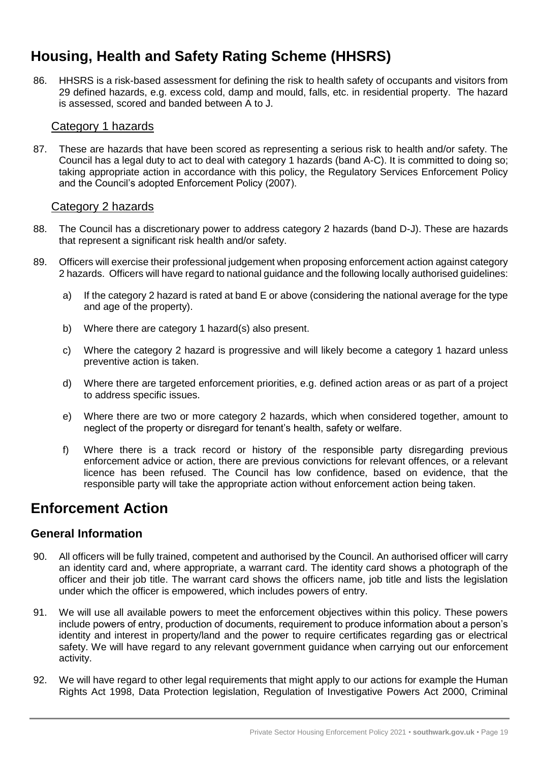# **Housing, Health and Safety Rating Scheme (HHSRS)**

86. HHSRS is a risk-based assessment for defining the risk to health safety of occupants and visitors from 29 defined hazards, e.g. excess cold, damp and mould, falls, etc. in residential property. The hazard is assessed, scored and banded between A to J.

#### Category 1 hazards

87. These are hazards that have been scored as representing a serious risk to health and/or safety. The Council has a legal duty to act to deal with category 1 hazards (band A-C). It is committed to doing so; taking appropriate action in accordance with this policy, the Regulatory Services Enforcement Policy and the Council's adopted Enforcement Policy (2007).

#### Category 2 hazards

- 88. The Council has a discretionary power to address category 2 hazards (band D-J). These are hazards that represent a significant risk health and/or safety.
- 89. Officers will exercise their professional judgement when proposing enforcement action against category 2 hazards. Officers will have regard to national guidance and the following locally authorised guidelines:
	- a) If the category 2 hazard is rated at band E or above (considering the national average for the type and age of the property).
	- b) Where there are category 1 hazard(s) also present.
	- c) Where the category 2 hazard is progressive and will likely become a category 1 hazard unless preventive action is taken.
	- d) Where there are targeted enforcement priorities, e.g. defined action areas or as part of a project to address specific issues.
	- e) Where there are two or more category 2 hazards, which when considered together, amount to neglect of the property or disregard for tenant's health, safety or welfare.
	- f) Where there is a track record or history of the responsible party disregarding previous enforcement advice or action, there are previous convictions for relevant offences, or a relevant licence has been refused. The Council has low confidence, based on evidence, that the responsible party will take the appropriate action without enforcement action being taken.

# **Enforcement Action**

#### **General Information**

- 90. All officers will be fully trained, competent and authorised by the Council. An authorised officer will carry an identity card and, where appropriate, a warrant card. The identity card shows a photograph of the officer and their job title. The warrant card shows the officers name, job title and lists the legislation under which the officer is empowered, which includes powers of entry.
- 91. We will use all available powers to meet the enforcement objectives within this policy. These powers include powers of entry, production of documents, requirement to produce information about a person's identity and interest in property/land and the power to require certificates regarding gas or electrical safety. We will have regard to any relevant government guidance when carrying out our enforcement activity.
- 92. We will have regard to other legal requirements that might apply to our actions for example the Human Rights Act 1998, Data Protection legislation, Regulation of Investigative Powers Act 2000, Criminal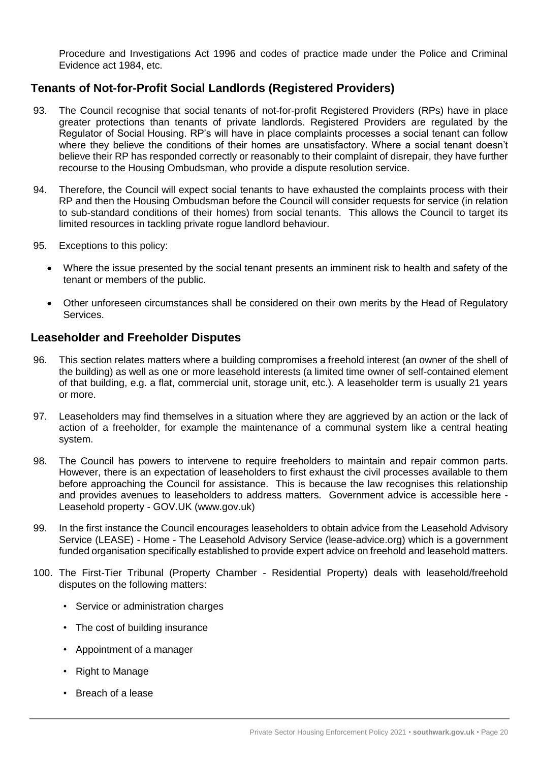Procedure and Investigations Act 1996 and codes of practice made under the Police and Criminal Evidence act 1984, etc.

#### **Tenants of Not-for-Profit Social Landlords (Registered Providers)**

- 93. The Council recognise that social tenants of not-for-profit Registered Providers (RPs) have in place greater protections than tenants of private landlords. Registered Providers are regulated by the Regulator of Social Housing. RP's will have in place complaints processes a social tenant can follow where they believe the conditions of their homes are unsatisfactory. Where a social tenant doesn't believe their RP has responded correctly or reasonably to their complaint of disrepair, they have further recourse to the Housing Ombudsman, who provide a dispute resolution service.
- 94. Therefore, the Council will expect social tenants to have exhausted the complaints process with their RP and then the Housing Ombudsman before the Council will consider requests for service (in relation to sub-standard conditions of their homes) from social tenants. This allows the Council to target its limited resources in tackling private rogue landlord behaviour.
- 95. Exceptions to this policy:
	- Where the issue presented by the social tenant presents an imminent risk to health and safety of the tenant or members of the public.
	- Other unforeseen circumstances shall be considered on their own merits by the Head of Regulatory Services.

#### **Leaseholder and Freeholder Disputes**

- 96. This section relates matters where a building compromises a freehold interest (an owner of the shell of the building) as well as one or more leasehold interests (a limited time owner of self-contained element of that building, e.g. a flat, commercial unit, storage unit, etc.). A leaseholder term is usually 21 years or more.
- 97. Leaseholders may find themselves in a situation where they are aggrieved by an action or the lack of action of a freeholder, for example the maintenance of a communal system like a central heating system.
- 98. The Council has powers to intervene to require freeholders to maintain and repair common parts. However, there is an expectation of leaseholders to first exhaust the civil processes available to them before approaching the Council for assistance. This is because the law recognises this relationship and provides avenues to leaseholders to address matters. Government advice is accessible here - Leasehold property - GOV.UK (www.gov.uk)
- 99. In the first instance the Council encourages leaseholders to obtain advice from the Leasehold Advisory Service (LEASE) - Home - The Leasehold Advisory Service (lease-advice.org) which is a government funded organisation specifically established to provide expert advice on freehold and leasehold matters.
- 100. The First-Tier Tribunal (Property Chamber Residential Property) deals with leasehold/freehold disputes on the following matters:
	- Service or administration charges
	- The cost of building insurance
	- Appointment of a manager
	- Right to Manage
	- Breach of a lease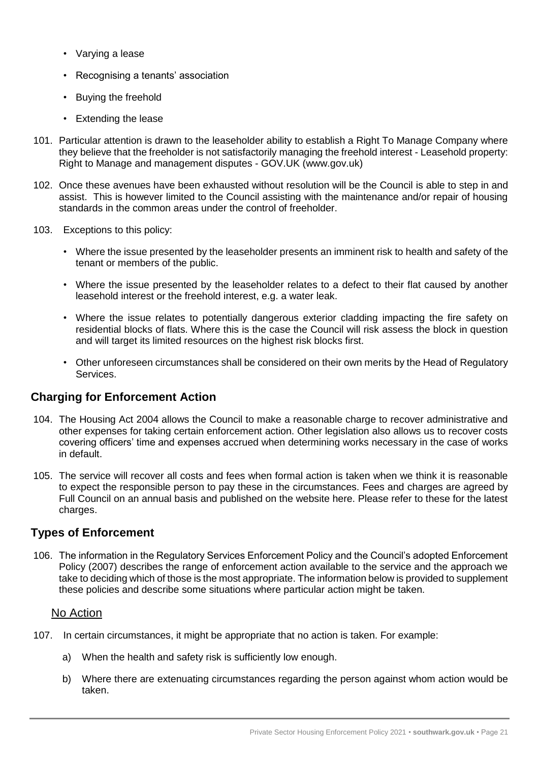- Varying a lease
- Recognising a tenants' association
- Buying the freehold
- Extending the lease
- 101. Particular attention is drawn to the leaseholder ability to establish a Right To Manage Company where they believe that the freeholder is not satisfactorily managing the freehold interest - Leasehold property: Right to Manage and management disputes - GOV.UK (www.gov.uk)
- 102. Once these avenues have been exhausted without resolution will be the Council is able to step in and assist. This is however limited to the Council assisting with the maintenance and/or repair of housing standards in the common areas under the control of freeholder.
- 103. Exceptions to this policy:
	- Where the issue presented by the leaseholder presents an imminent risk to health and safety of the tenant or members of the public.
	- Where the issue presented by the leaseholder relates to a defect to their flat caused by another leasehold interest or the freehold interest, e.g. a water leak.
	- Where the issue relates to potentially dangerous exterior cladding impacting the fire safety on residential blocks of flats. Where this is the case the Council will risk assess the block in question and will target its limited resources on the highest risk blocks first.
	- Other unforeseen circumstances shall be considered on their own merits by the Head of Regulatory Services.

#### **Charging for Enforcement Action**

- 104. The Housing Act 2004 allows the Council to make a reasonable charge to recover administrative and other expenses for taking certain enforcement action. Other legislation also allows us to recover costs covering officers' time and expenses accrued when determining works necessary in the case of works in default.
- 105. The service will recover all costs and fees when formal action is taken when we think it is reasonable to expect the responsible person to pay these in the circumstances. Fees and charges are agreed by Full Council on an annual basis and published on the website here. Please refer to these for the latest charges.

#### **Types of Enforcement**

106. The information in the Regulatory Services Enforcement Policy and the Council's adopted Enforcement Policy (2007) describes the range of enforcement action available to the service and the approach we take to deciding which of those is the most appropriate. The information below is provided to supplement these policies and describe some situations where particular action might be taken.

#### No Action

- 107. In certain circumstances, it might be appropriate that no action is taken. For example:
	- a) When the health and safety risk is sufficiently low enough.
	- b) Where there are extenuating circumstances regarding the person against whom action would be taken.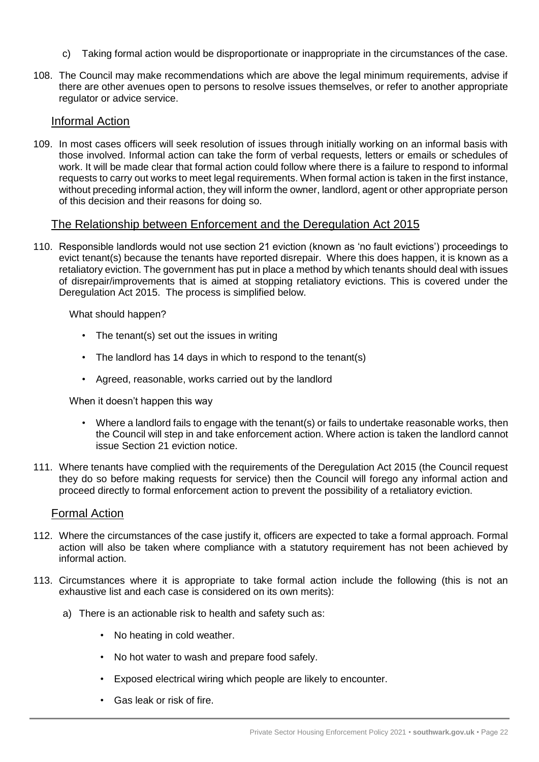- c) Taking formal action would be disproportionate or inappropriate in the circumstances of the case.
- 108. The Council may make recommendations which are above the legal minimum requirements, advise if there are other avenues open to persons to resolve issues themselves, or refer to another appropriate regulator or advice service.

#### Informal Action

109. In most cases officers will seek resolution of issues through initially working on an informal basis with those involved. Informal action can take the form of verbal requests, letters or emails or schedules of work. It will be made clear that formal action could follow where there is a failure to respond to informal requests to carry out works to meet legal requirements. When formal action is taken in the first instance, without preceding informal action, they will inform the owner, landlord, agent or other appropriate person of this decision and their reasons for doing so.

#### The Relationship between Enforcement and the Deregulation Act 2015

110. Responsible landlords would not use section 21 eviction (known as 'no fault evictions') proceedings to evict tenant(s) because the tenants have reported disrepair. Where this does happen, it is known as a retaliatory eviction. The government has put in place a method by which tenants should deal with issues of disrepair/improvements that is aimed at stopping retaliatory evictions. This is covered under the Deregulation Act 2015. The process is simplified below.

What should happen?

- The tenant(s) set out the issues in writing
- The landlord has 14 days in which to respond to the tenant(s)
- Agreed, reasonable, works carried out by the landlord

When it doesn't happen this way

- Where a landlord fails to engage with the tenant(s) or fails to undertake reasonable works, then the Council will step in and take enforcement action. Where action is taken the landlord cannot issue Section 21 eviction notice.
- 111. Where tenants have complied with the requirements of the Deregulation Act 2015 (the Council request they do so before making requests for service) then the Council will forego any informal action and proceed directly to formal enforcement action to prevent the possibility of a retaliatory eviction.

#### Formal Action

- 112. Where the circumstances of the case justify it, officers are expected to take a formal approach. Formal action will also be taken where compliance with a statutory requirement has not been achieved by informal action.
- 113. Circumstances where it is appropriate to take formal action include the following (this is not an exhaustive list and each case is considered on its own merits):
	- a) There is an actionable risk to health and safety such as:
		- No heating in cold weather.
		- No hot water to wash and prepare food safely.
		- Exposed electrical wiring which people are likely to encounter.
		- Gas leak or risk of fire.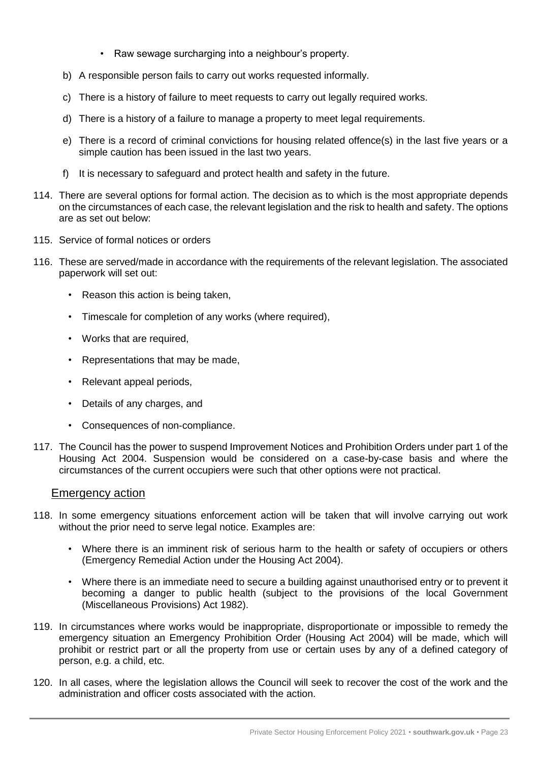- Raw sewage surcharging into a neighbour's property.
- b) A responsible person fails to carry out works requested informally.
- c) There is a history of failure to meet requests to carry out legally required works.
- d) There is a history of a failure to manage a property to meet legal requirements.
- e) There is a record of criminal convictions for housing related offence(s) in the last five years or a simple caution has been issued in the last two years.
- f) It is necessary to safeguard and protect health and safety in the future.
- 114. There are several options for formal action. The decision as to which is the most appropriate depends on the circumstances of each case, the relevant legislation and the risk to health and safety. The options are as set out below:
- 115. Service of formal notices or orders
- 116. These are served/made in accordance with the requirements of the relevant legislation. The associated paperwork will set out:
	- Reason this action is being taken,
	- Timescale for completion of any works (where required),
	- Works that are required,
	- Representations that may be made,
	- Relevant appeal periods,
	- Details of any charges, and
	- Consequences of non-compliance.
- 117. The Council has the power to suspend Improvement Notices and Prohibition Orders under part 1 of the Housing Act 2004. Suspension would be considered on a case-by-case basis and where the circumstances of the current occupiers were such that other options were not practical.

#### Emergency action

- 118. In some emergency situations enforcement action will be taken that will involve carrying out work without the prior need to serve legal notice. Examples are:
	- Where there is an imminent risk of serious harm to the health or safety of occupiers or others (Emergency Remedial Action under the Housing Act 2004).
	- Where there is an immediate need to secure a building against unauthorised entry or to prevent it becoming a danger to public health (subject to the provisions of the local Government (Miscellaneous Provisions) Act 1982).
- 119. In circumstances where works would be inappropriate, disproportionate or impossible to remedy the emergency situation an Emergency Prohibition Order (Housing Act 2004) will be made, which will prohibit or restrict part or all the property from use or certain uses by any of a defined category of person, e.g. a child, etc.
- 120. In all cases, where the legislation allows the Council will seek to recover the cost of the work and the administration and officer costs associated with the action.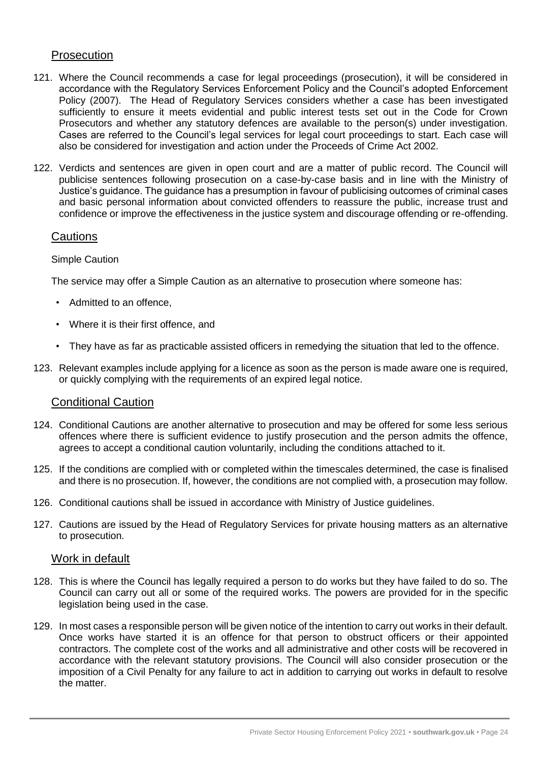#### **Prosecution**

- 121. Where the Council recommends a case for legal proceedings (prosecution), it will be considered in accordance with the Regulatory Services Enforcement Policy and the Council's adopted Enforcement Policy (2007). The Head of Regulatory Services considers whether a case has been investigated sufficiently to ensure it meets evidential and public interest tests set out in the Code for Crown Prosecutors and whether any statutory defences are available to the person(s) under investigation. Cases are referred to the Council's legal services for legal court proceedings to start. Each case will also be considered for investigation and action under the Proceeds of Crime Act 2002.
- 122. Verdicts and sentences are given in open court and are a matter of public record. The Council will publicise sentences following prosecution on a case-by-case basis and in line with the Ministry of Justice's guidance. The guidance has a presumption in favour of publicising outcomes of criminal cases and basic personal information about convicted offenders to reassure the public, increase trust and confidence or improve the effectiveness in the justice system and discourage offending or re-offending.

#### **Cautions**

#### Simple Caution

The service may offer a Simple Caution as an alternative to prosecution where someone has:

- Admitted to an offence,
- Where it is their first offence, and
- They have as far as practicable assisted officers in remedying the situation that led to the offence.
- 123. Relevant examples include applying for a licence as soon as the person is made aware one is required, or quickly complying with the requirements of an expired legal notice.

#### Conditional Caution

- 124. Conditional Cautions are another alternative to prosecution and may be offered for some less serious offences where there is sufficient evidence to justify prosecution and the person admits the offence, agrees to accept a conditional caution voluntarily, including the conditions attached to it.
- 125. If the conditions are complied with or completed within the timescales determined, the case is finalised and there is no prosecution. If, however, the conditions are not complied with, a prosecution may follow.
- 126. Conditional cautions shall be issued in accordance with Ministry of Justice guidelines.
- 127. Cautions are issued by the Head of Regulatory Services for private housing matters as an alternative to prosecution.

#### Work in default

- 128. This is where the Council has legally required a person to do works but they have failed to do so. The Council can carry out all or some of the required works. The powers are provided for in the specific legislation being used in the case.
- 129. In most cases a responsible person will be given notice of the intention to carry out works in their default. Once works have started it is an offence for that person to obstruct officers or their appointed contractors. The complete cost of the works and all administrative and other costs will be recovered in accordance with the relevant statutory provisions. The Council will also consider prosecution or the imposition of a Civil Penalty for any failure to act in addition to carrying out works in default to resolve the matter.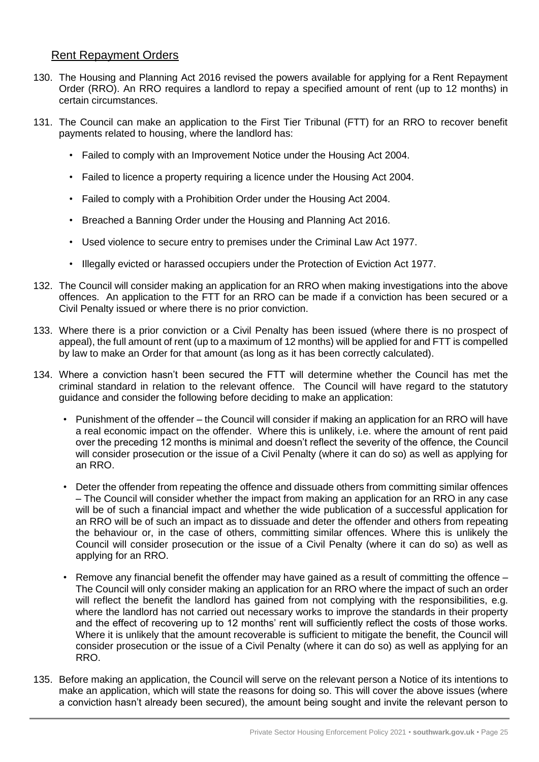#### Rent Repayment Orders

- 130. The Housing and Planning Act 2016 revised the powers available for applying for a Rent Repayment Order (RRO). An RRO requires a landlord to repay a specified amount of rent (up to 12 months) in certain circumstances.
- 131. The Council can make an application to the First Tier Tribunal (FTT) for an RRO to recover benefit payments related to housing, where the landlord has:
	- Failed to comply with an Improvement Notice under the Housing Act 2004.
	- Failed to licence a property requiring a licence under the Housing Act 2004.
	- Failed to comply with a Prohibition Order under the Housing Act 2004.
	- Breached a Banning Order under the Housing and Planning Act 2016.
	- Used violence to secure entry to premises under the Criminal Law Act 1977.
	- Illegally evicted or harassed occupiers under the Protection of Eviction Act 1977.
- 132. The Council will consider making an application for an RRO when making investigations into the above offences. An application to the FTT for an RRO can be made if a conviction has been secured or a Civil Penalty issued or where there is no prior conviction.
- 133. Where there is a prior conviction or a Civil Penalty has been issued (where there is no prospect of appeal), the full amount of rent (up to a maximum of 12 months) will be applied for and FTT is compelled by law to make an Order for that amount (as long as it has been correctly calculated).
- 134. Where a conviction hasn't been secured the FTT will determine whether the Council has met the criminal standard in relation to the relevant offence. The Council will have regard to the statutory guidance and consider the following before deciding to make an application:
	- Punishment of the offender the Council will consider if making an application for an RRO will have a real economic impact on the offender. Where this is unlikely, i.e. where the amount of rent paid over the preceding 12 months is minimal and doesn't reflect the severity of the offence, the Council will consider prosecution or the issue of a Civil Penalty (where it can do so) as well as applying for an RRO.
	- Deter the offender from repeating the offence and dissuade others from committing similar offences – The Council will consider whether the impact from making an application for an RRO in any case will be of such a financial impact and whether the wide publication of a successful application for an RRO will be of such an impact as to dissuade and deter the offender and others from repeating the behaviour or, in the case of others, committing similar offences. Where this is unlikely the Council will consider prosecution or the issue of a Civil Penalty (where it can do so) as well as applying for an RRO.
	- Remove any financial benefit the offender may have gained as a result of committing the offence The Council will only consider making an application for an RRO where the impact of such an order will reflect the benefit the landlord has gained from not complying with the responsibilities, e.g. where the landlord has not carried out necessary works to improve the standards in their property and the effect of recovering up to 12 months' rent will sufficiently reflect the costs of those works. Where it is unlikely that the amount recoverable is sufficient to mitigate the benefit, the Council will consider prosecution or the issue of a Civil Penalty (where it can do so) as well as applying for an RRO.
- 135. Before making an application, the Council will serve on the relevant person a Notice of its intentions to make an application, which will state the reasons for doing so. This will cover the above issues (where a conviction hasn't already been secured), the amount being sought and invite the relevant person to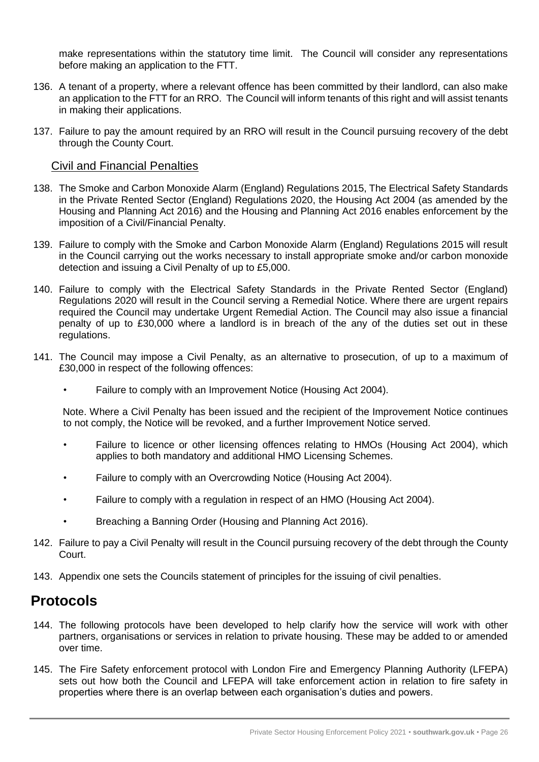make representations within the statutory time limit. The Council will consider any representations before making an application to the FTT.

- 136. A tenant of a property, where a relevant offence has been committed by their landlord, can also make an application to the FTT for an RRO. The Council will inform tenants of this right and will assist tenants in making their applications.
- 137. Failure to pay the amount required by an RRO will result in the Council pursuing recovery of the debt through the County Court.

#### Civil and Financial Penalties

- 138. The Smoke and Carbon Monoxide Alarm (England) Regulations 2015, The Electrical Safety Standards in the Private Rented Sector (England) Regulations 2020, the Housing Act 2004 (as amended by the Housing and Planning Act 2016) and the Housing and Planning Act 2016 enables enforcement by the imposition of a Civil/Financial Penalty.
- 139. Failure to comply with the Smoke and Carbon Monoxide Alarm (England) Regulations 2015 will result in the Council carrying out the works necessary to install appropriate smoke and/or carbon monoxide detection and issuing a Civil Penalty of up to £5,000.
- 140. Failure to comply with the Electrical Safety Standards in the Private Rented Sector (England) Regulations 2020 will result in the Council serving a Remedial Notice. Where there are urgent repairs required the Council may undertake Urgent Remedial Action. The Council may also issue a financial penalty of up to £30,000 where a landlord is in breach of the any of the duties set out in these regulations.
- 141. The Council may impose a Civil Penalty, as an alternative to prosecution, of up to a maximum of £30,000 in respect of the following offences:
	- Failure to comply with an Improvement Notice (Housing Act 2004).

Note. Where a Civil Penalty has been issued and the recipient of the Improvement Notice continues to not comply, the Notice will be revoked, and a further Improvement Notice served.

- Failure to licence or other licensing offences relating to HMOs (Housing Act 2004), which applies to both mandatory and additional HMO Licensing Schemes.
- Failure to comply with an Overcrowding Notice (Housing Act 2004).
- Failure to comply with a regulation in respect of an HMO (Housing Act 2004).
- Breaching a Banning Order (Housing and Planning Act 2016).
- 142. Failure to pay a Civil Penalty will result in the Council pursuing recovery of the debt through the County Court.
- 143. Appendix one sets the Councils statement of principles for the issuing of civil penalties.

# **Protocols**

- 144. The following protocols have been developed to help clarify how the service will work with other partners, organisations or services in relation to private housing. These may be added to or amended over time.
- 145. The Fire Safety enforcement protocol with London Fire and Emergency Planning Authority (LFEPA) sets out how both the Council and LFEPA will take enforcement action in relation to fire safety in properties where there is an overlap between each organisation's duties and powers.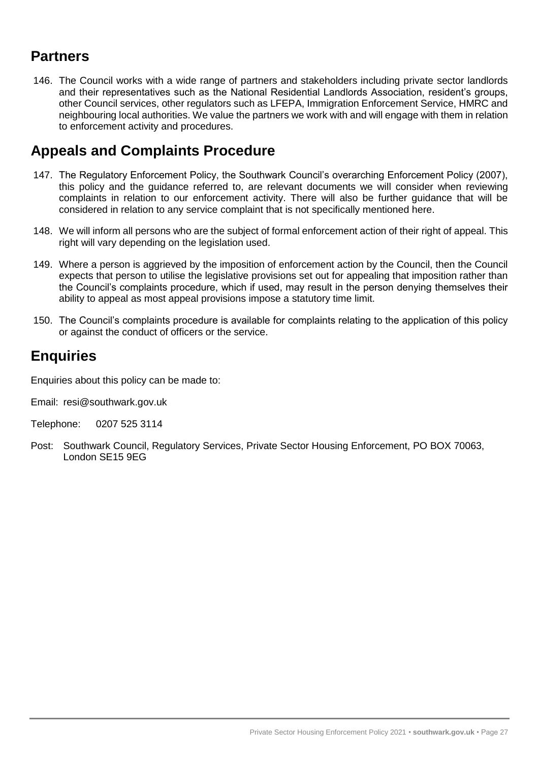# **Partners**

146. The Council works with a wide range of partners and stakeholders including private sector landlords and their representatives such as the National Residential Landlords Association, resident's groups, other Council services, other regulators such as LFEPA, Immigration Enforcement Service, HMRC and neighbouring local authorities. We value the partners we work with and will engage with them in relation to enforcement activity and procedures.

# **Appeals and Complaints Procedure**

- 147. The Regulatory Enforcement Policy, the Southwark Council's overarching Enforcement Policy (2007), this policy and the guidance referred to, are relevant documents we will consider when reviewing complaints in relation to our enforcement activity. There will also be further guidance that will be considered in relation to any service complaint that is not specifically mentioned here.
- 148. We will inform all persons who are the subject of formal enforcement action of their right of appeal. This right will vary depending on the legislation used.
- 149. Where a person is aggrieved by the imposition of enforcement action by the Council, then the Council expects that person to utilise the legislative provisions set out for appealing that imposition rather than the Council's complaints procedure, which if used, may result in the person denying themselves their ability to appeal as most appeal provisions impose a statutory time limit.
- 150. The Council's complaints procedure is available for complaints relating to the application of this policy or against the conduct of officers or the service.

# **Enquiries**

Enquiries about this policy can be made to:

- Email: resi@southwark.gov.uk
- Telephone: 0207 525 3114
- Post: Southwark Council, Regulatory Services, Private Sector Housing Enforcement, PO BOX 70063, London SE15 9EG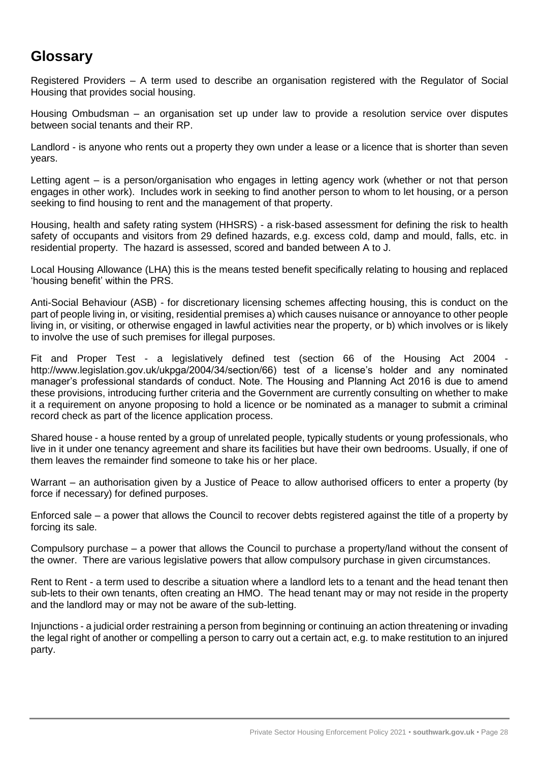# **Glossary**

Registered Providers – A term used to describe an organisation registered with the Regulator of Social Housing that provides social housing.

Housing Ombudsman – an organisation set up under law to provide a resolution service over disputes between social tenants and their RP.

Landlord - is anyone who rents out a property they own under a lease or a licence that is shorter than seven years.

Letting agent – is a person/organisation who engages in letting agency work (whether or not that person engages in other work). Includes work in seeking to find another person to whom to let housing, or a person seeking to find housing to rent and the management of that property.

Housing, health and safety rating system (HHSRS) - a risk-based assessment for defining the risk to health safety of occupants and visitors from 29 defined hazards, e.g. excess cold, damp and mould, falls, etc. in residential property. The hazard is assessed, scored and banded between A to J.

Local Housing Allowance (LHA) this is the means tested benefit specifically relating to housing and replaced 'housing benefit' within the PRS.

Anti-Social Behaviour (ASB) - for discretionary licensing schemes affecting housing, this is conduct on the part of people living in, or visiting, residential premises a) which causes nuisance or annoyance to other people living in, or visiting, or otherwise engaged in lawful activities near the property, or b) which involves or is likely to involve the use of such premises for illegal purposes.

Fit and Proper Test - a legislatively defined test (section 66 of the Housing Act 2004 http://www.legislation.gov.uk/ukpga/2004/34/section/66) test of a license's holder and any nominated manager's professional standards of conduct. Note. The Housing and Planning Act 2016 is due to amend these provisions, introducing further criteria and the Government are currently consulting on whether to make it a requirement on anyone proposing to hold a licence or be nominated as a manager to submit a criminal record check as part of the licence application process.

Shared house - a house rented by a group of unrelated people, typically students or young professionals, who live in it under one tenancy agreement and share its facilities but have their own bedrooms. Usually, if one of them leaves the remainder find someone to take his or her place.

Warrant – an authorisation given by a Justice of Peace to allow authorised officers to enter a property (by force if necessary) for defined purposes.

Enforced sale – a power that allows the Council to recover debts registered against the title of a property by forcing its sale.

Compulsory purchase – a power that allows the Council to purchase a property/land without the consent of the owner. There are various legislative powers that allow compulsory purchase in given circumstances.

Rent to Rent - a term used to describe a situation where a landlord lets to a tenant and the head tenant then sub-lets to their own tenants, often creating an HMO. The head tenant may or may not reside in the property and the landlord may or may not be aware of the sub-letting.

Injunctions - a judicial order restraining a person from beginning or continuing an action threatening or invading the legal right of another or compelling a person to carry out a certain act, e.g. to make restitution to an injured party.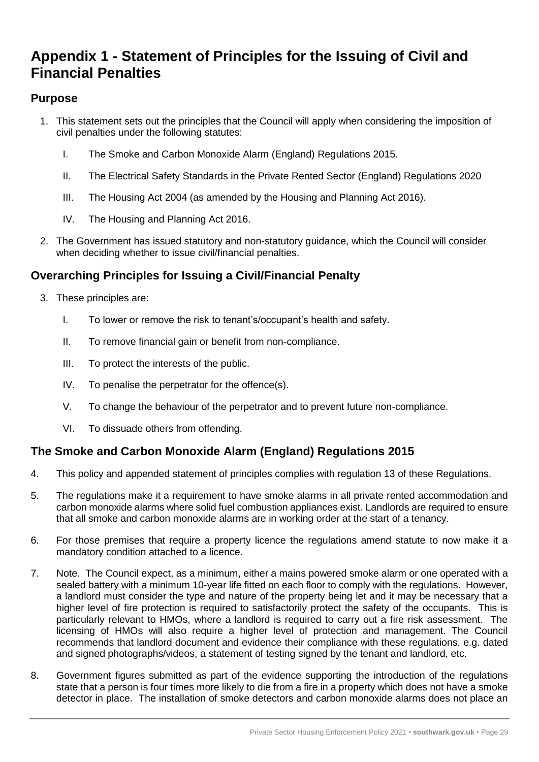# **Appendix 1 - Statement of Principles for the Issuing of Civil and Financial Penalties**

## **Purpose**

- 1. This statement sets out the principles that the Council will apply when considering the imposition of civil penalties under the following statutes:
	- I. The Smoke and Carbon Monoxide Alarm (England) Regulations 2015.
	- II. The Electrical Safety Standards in the Private Rented Sector (England) Regulations 2020
	- III. The Housing Act 2004 (as amended by the Housing and Planning Act 2016).
	- IV. The Housing and Planning Act 2016.
- 2. The Government has issued statutory and non-statutory guidance, which the Council will consider when deciding whether to issue civil/financial penalties.

## **Overarching Principles for Issuing a Civil/Financial Penalty**

- 3. These principles are:
	- I. To lower or remove the risk to tenant's/occupant's health and safety.
	- II. To remove financial gain or benefit from non-compliance.
	- III. To protect the interests of the public.
	- IV. To penalise the perpetrator for the offence(s).
	- V. To change the behaviour of the perpetrator and to prevent future non-compliance.
	- VI. To dissuade others from offending.

## **The Smoke and Carbon Monoxide Alarm (England) Regulations 2015**

- 4. This policy and appended statement of principles complies with regulation 13 of these Regulations.
- 5. The regulations make it a requirement to have smoke alarms in all private rented accommodation and carbon monoxide alarms where solid fuel combustion appliances exist. Landlords are required to ensure that all smoke and carbon monoxide alarms are in working order at the start of a tenancy.
- 6. For those premises that require a property licence the regulations amend statute to now make it a mandatory condition attached to a licence.
- 7. Note. The Council expect, as a minimum, either a mains powered smoke alarm or one operated with a sealed battery with a minimum 10-year life fitted on each floor to comply with the regulations. However, a landlord must consider the type and nature of the property being let and it may be necessary that a higher level of fire protection is required to satisfactorily protect the safety of the occupants. This is particularly relevant to HMOs, where a landlord is required to carry out a fire risk assessment. The licensing of HMOs will also require a higher level of protection and management. The Council recommends that landlord document and evidence their compliance with these regulations, e.g. dated and signed photographs/videos, a statement of testing signed by the tenant and landlord, etc.
- 8. Government figures submitted as part of the evidence supporting the introduction of the regulations state that a person is four times more likely to die from a fire in a property which does not have a smoke detector in place. The installation of smoke detectors and carbon monoxide alarms does not place an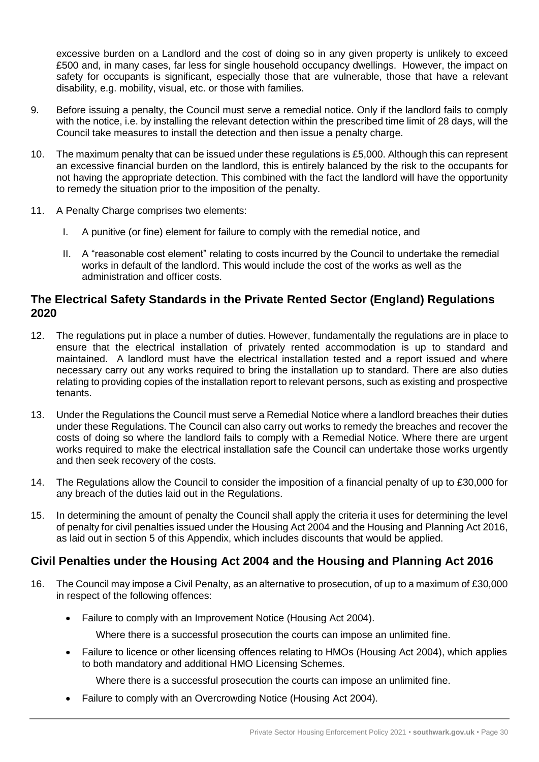excessive burden on a Landlord and the cost of doing so in any given property is unlikely to exceed £500 and, in many cases, far less for single household occupancy dwellings. However, the impact on safety for occupants is significant, especially those that are vulnerable, those that have a relevant disability, e.g. mobility, visual, etc. or those with families.

- 9. Before issuing a penalty, the Council must serve a remedial notice. Only if the landlord fails to comply with the notice, i.e. by installing the relevant detection within the prescribed time limit of 28 days, will the Council take measures to install the detection and then issue a penalty charge.
- 10. The maximum penalty that can be issued under these regulations is £5,000. Although this can represent an excessive financial burden on the landlord, this is entirely balanced by the risk to the occupants for not having the appropriate detection. This combined with the fact the landlord will have the opportunity to remedy the situation prior to the imposition of the penalty.
- 11. A Penalty Charge comprises two elements:
	- I. A punitive (or fine) element for failure to comply with the remedial notice, and
	- II. A "reasonable cost element" relating to costs incurred by the Council to undertake the remedial works in default of the landlord. This would include the cost of the works as well as the administration and officer costs.

#### **The Electrical Safety Standards in the Private Rented Sector (England) Regulations 2020**

- 12. The regulations put in place a number of duties. However, fundamentally the regulations are in place to ensure that the electrical installation of privately rented accommodation is up to standard and maintained. A landlord must have the electrical installation tested and a report issued and where necessary carry out any works required to bring the installation up to standard. There are also duties relating to providing copies of the installation report to relevant persons, such as existing and prospective tenants.
- 13. Under the Regulations the Council must serve a Remedial Notice where a landlord breaches their duties under these Regulations. The Council can also carry out works to remedy the breaches and recover the costs of doing so where the landlord fails to comply with a Remedial Notice. Where there are urgent works required to make the electrical installation safe the Council can undertake those works urgently and then seek recovery of the costs.
- 14. The Regulations allow the Council to consider the imposition of a financial penalty of up to £30,000 for any breach of the duties laid out in the Regulations.
- 15. In determining the amount of penalty the Council shall apply the criteria it uses for determining the level of penalty for civil penalties issued under the Housing Act 2004 and the Housing and Planning Act 2016, as laid out in section 5 of this Appendix, which includes discounts that would be applied.

## **Civil Penalties under the Housing Act 2004 and the Housing and Planning Act 2016**

- 16. The Council may impose a Civil Penalty, as an alternative to prosecution, of up to a maximum of £30,000 in respect of the following offences:
	- Failure to comply with an Improvement Notice (Housing Act 2004).
		- Where there is a successful prosecution the courts can impose an unlimited fine.
	- Failure to licence or other licensing offences relating to HMOs (Housing Act 2004), which applies to both mandatory and additional HMO Licensing Schemes.
		- Where there is a successful prosecution the courts can impose an unlimited fine.
	- Failure to comply with an Overcrowding Notice (Housing Act 2004).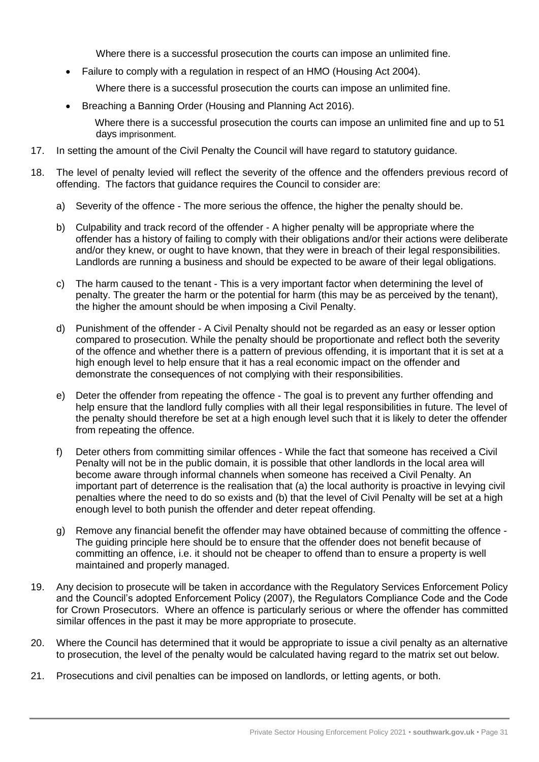Where there is a successful prosecution the courts can impose an unlimited fine.

Failure to comply with a regulation in respect of an HMO (Housing Act 2004).

Where there is a successful prosecution the courts can impose an unlimited fine.

• Breaching a Banning Order (Housing and Planning Act 2016).

Where there is a successful prosecution the courts can impose an unlimited fine and up to 51 days imprisonment.

- 17. In setting the amount of the Civil Penalty the Council will have regard to statutory guidance.
- 18. The level of penalty levied will reflect the severity of the offence and the offenders previous record of offending. The factors that guidance requires the Council to consider are:
	- a) Severity of the offence The more serious the offence, the higher the penalty should be.
	- b) Culpability and track record of the offender A higher penalty will be appropriate where the offender has a history of failing to comply with their obligations and/or their actions were deliberate and/or they knew, or ought to have known, that they were in breach of their legal responsibilities. Landlords are running a business and should be expected to be aware of their legal obligations.
	- c) The harm caused to the tenant This is a very important factor when determining the level of penalty. The greater the harm or the potential for harm (this may be as perceived by the tenant), the higher the amount should be when imposing a Civil Penalty.
	- d) Punishment of the offender A Civil Penalty should not be regarded as an easy or lesser option compared to prosecution. While the penalty should be proportionate and reflect both the severity of the offence and whether there is a pattern of previous offending, it is important that it is set at a high enough level to help ensure that it has a real economic impact on the offender and demonstrate the consequences of not complying with their responsibilities.
	- e) Deter the offender from repeating the offence The goal is to prevent any further offending and help ensure that the landlord fully complies with all their legal responsibilities in future. The level of the penalty should therefore be set at a high enough level such that it is likely to deter the offender from repeating the offence.
	- f) Deter others from committing similar offences While the fact that someone has received a Civil Penalty will not be in the public domain, it is possible that other landlords in the local area will become aware through informal channels when someone has received a Civil Penalty. An important part of deterrence is the realisation that (a) the local authority is proactive in levying civil penalties where the need to do so exists and (b) that the level of Civil Penalty will be set at a high enough level to both punish the offender and deter repeat offending.
	- g) Remove any financial benefit the offender may have obtained because of committing the offence The guiding principle here should be to ensure that the offender does not benefit because of committing an offence, i.e. it should not be cheaper to offend than to ensure a property is well maintained and properly managed.
- 19. Any decision to prosecute will be taken in accordance with the Regulatory Services Enforcement Policy and the Council's adopted Enforcement Policy (2007), the Regulators Compliance Code and the Code for Crown Prosecutors. Where an offence is particularly serious or where the offender has committed similar offences in the past it may be more appropriate to prosecute.
- 20. Where the Council has determined that it would be appropriate to issue a civil penalty as an alternative to prosecution, the level of the penalty would be calculated having regard to the matrix set out below.
- 21. Prosecutions and civil penalties can be imposed on landlords, or letting agents, or both.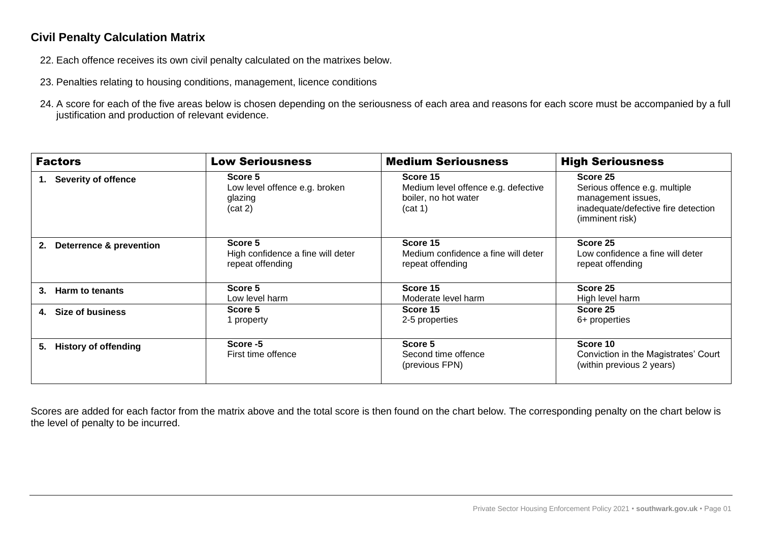## **Civil Penalty Calculation Matrix**

- 22. Each offence receives its own civil penalty calculated on the matrixes below.
- 23. Penalties relating to housing conditions, management, licence conditions
- 24. A score for each of the five areas below is chosen depending on the seriousness of each area and reasons for each score must be accompanied by a full justification and production of relevant evidence.

| <b>Factors</b>                           | <b>Medium Seriousness</b><br><b>Low Seriousness</b>              |                                                                                    | <b>High Seriousness</b>                                                                                                   |  |
|------------------------------------------|------------------------------------------------------------------|------------------------------------------------------------------------------------|---------------------------------------------------------------------------------------------------------------------------|--|
| <b>Severity of offence</b><br>1.         | Score 5<br>Low level offence e.g. broken<br>glazing<br>(cat 2)   | Score 15<br>Medium level offence e.g. defective<br>boiler, no hot water<br>(cat 1) | Score 25<br>Serious offence e.g. multiple<br>management issues,<br>inadequate/defective fire detection<br>(imminent risk) |  |
| <b>Deterrence &amp; prevention</b><br>2. | Score 5<br>High confidence a fine will deter<br>repeat offending | Score 15<br>Medium confidence a fine will deter<br>repeat offending                | Score 25<br>Low confidence a fine will deter<br>repeat offending                                                          |  |
| Harm to tenants<br>$3_{-}$               | Score 5<br>Low level harm                                        | Score 15<br>Moderate level harm                                                    | Score 25<br>High level harm                                                                                               |  |
| Size of business<br>4.                   | Score 5<br>1 property                                            | Score 15<br>2-5 properties                                                         | Score 25<br>6+ properties                                                                                                 |  |
| <b>History of offending</b><br>5.        | Score -5<br>First time offence                                   | Score 5<br>Second time offence<br>(previous FPN)                                   | Score 10<br>Conviction in the Magistrates' Court<br>(within previous 2 years)                                             |  |

Scores are added for each factor from the matrix above and the total score is then found on the chart below. The corresponding penalty on the chart below is the level of penalty to be incurred.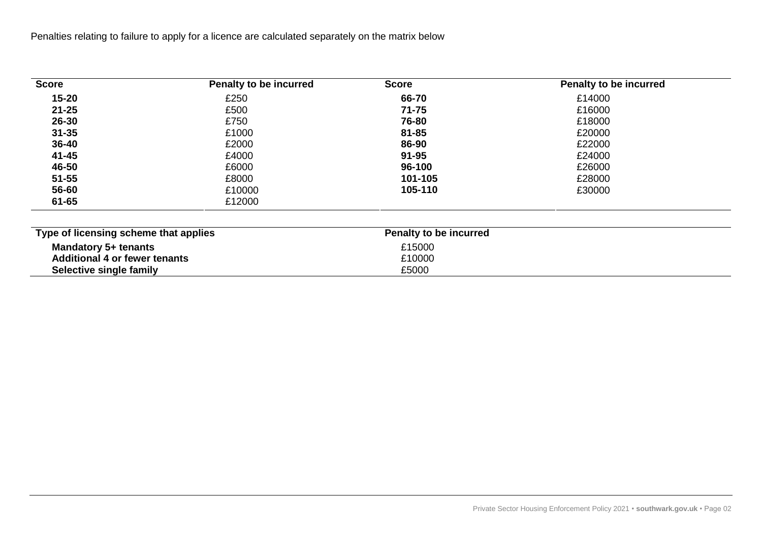Penalties relating to failure to apply for a licence are calculated separately on the matrix below

| <b>Score</b>                          | Penalty to be incurred | <b>Score</b>           | Penalty to be incurred |  |
|---------------------------------------|------------------------|------------------------|------------------------|--|
| $15 - 20$                             | £250                   | 66-70                  | £14000                 |  |
| $21 - 25$                             | £500                   | $71 - 75$              | £16000                 |  |
| $26 - 30$                             | £750                   | 76-80                  | £18000                 |  |
| $31 - 35$                             | £1000                  | 81-85                  | £20000                 |  |
| 36-40                                 | £2000                  | 86-90                  | £22000                 |  |
| 41-45                                 | £4000                  | $91 - 95$              | £24000                 |  |
| 46-50                                 | £6000                  | 96-100                 | £26000                 |  |
| $51 - 55$                             | £8000                  | 101-105                | £28000                 |  |
| 56-60                                 | £10000                 | 105-110                | £30000                 |  |
| 61-65                                 | £12000                 |                        |                        |  |
| Type of licensing scheme that applies |                        | Penalty to be incurred |                        |  |
| Mandatory 5+ tenants                  |                        | £15000                 |                        |  |
| <b>Additional 4 or fewer tenants</b>  |                        | £10000                 |                        |  |
| Selective single family               |                        | £5000                  |                        |  |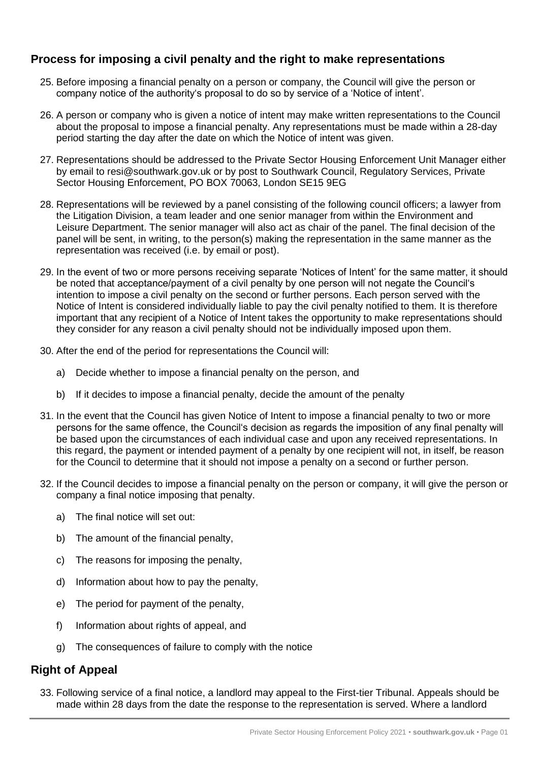## **Process for imposing a civil penalty and the right to make representations**

- 25. Before imposing a financial penalty on a person or company, the Council will give the person or company notice of the authority's proposal to do so by service of a 'Notice of intent'.
- 26. A person or company who is given a notice of intent may make written representations to the Council about the proposal to impose a financial penalty. Any representations must be made within a 28-day period starting the day after the date on which the Notice of intent was given.
- 27. Representations should be addressed to the Private Sector Housing Enforcement Unit Manager either by email to resi@southwark.gov.uk or by post to Southwark Council, Regulatory Services, Private Sector Housing Enforcement, PO BOX 70063, London SE15 9EG
- 28. Representations will be reviewed by a panel consisting of the following council officers; a lawyer from the Litigation Division, a team leader and one senior manager from within the Environment and Leisure Department. The senior manager will also act as chair of the panel. The final decision of the panel will be sent, in writing, to the person(s) making the representation in the same manner as the representation was received (i.e. by email or post).
- 29. In the event of two or more persons receiving separate 'Notices of Intent' for the same matter, it should be noted that acceptance/payment of a civil penalty by one person will not negate the Council's intention to impose a civil penalty on the second or further persons. Each person served with the Notice of Intent is considered individually liable to pay the civil penalty notified to them. It is therefore important that any recipient of a Notice of Intent takes the opportunity to make representations should they consider for any reason a civil penalty should not be individually imposed upon them.
- 30. After the end of the period for representations the Council will:
	- a) Decide whether to impose a financial penalty on the person, and
	- b) If it decides to impose a financial penalty, decide the amount of the penalty
- 31. In the event that the Council has given Notice of Intent to impose a financial penalty to two or more persons for the same offence, the Council's decision as regards the imposition of any final penalty will be based upon the circumstances of each individual case and upon any received representations. In this regard, the payment or intended payment of a penalty by one recipient will not, in itself, be reason for the Council to determine that it should not impose a penalty on a second or further person.
- 32. If the Council decides to impose a financial penalty on the person or company, it will give the person or company a final notice imposing that penalty.
	- a) The final notice will set out:
	- b) The amount of the financial penalty,
	- c) The reasons for imposing the penalty,
	- d) Information about how to pay the penalty,
	- e) The period for payment of the penalty,
	- f) Information about rights of appeal, and
	- g) The consequences of failure to comply with the notice

#### **Right of Appeal**

33. Following service of a final notice, a landlord may appeal to the First-tier Tribunal. Appeals should be made within 28 days from the date the response to the representation is served. Where a landlord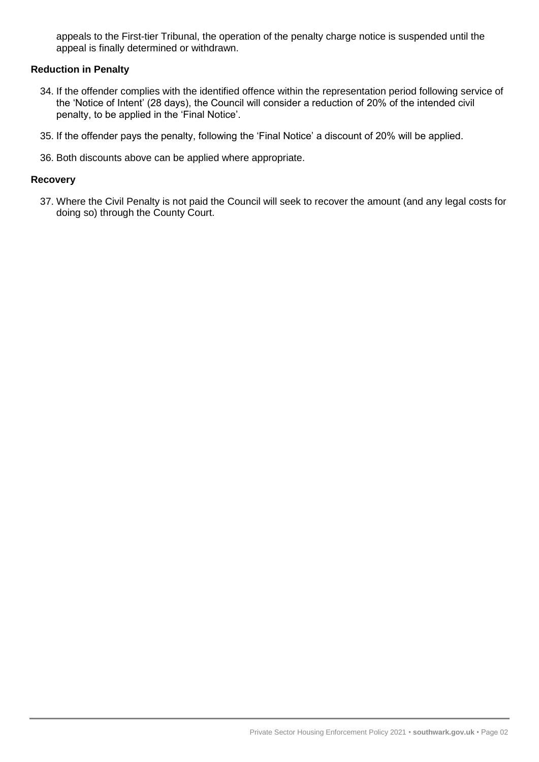appeals to the First-tier Tribunal, the operation of the penalty charge notice is suspended until the appeal is finally determined or withdrawn.

#### **Reduction in Penalty**

- 34. If the offender complies with the identified offence within the representation period following service of the 'Notice of Intent' (28 days), the Council will consider a reduction of 20% of the intended civil penalty, to be applied in the 'Final Notice'.
- 35. If the offender pays the penalty, following the 'Final Notice' a discount of 20% will be applied.
- 36. Both discounts above can be applied where appropriate.

#### **Recovery**

37. Where the Civil Penalty is not paid the Council will seek to recover the amount (and any legal costs for doing so) through the County Court.